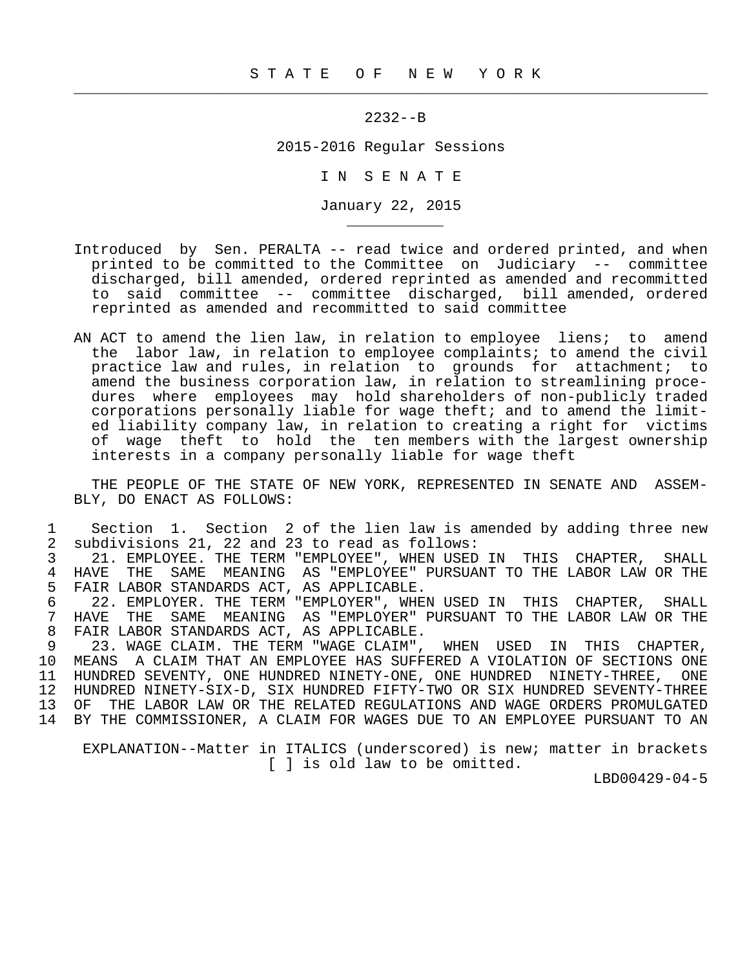$\frac{1}{2}$  , and the contribution of the contribution of the contribution of the contribution of the contribution of the contribution of the contribution of the contribution of the contribution of the contribution of the c

\_\_\_\_\_\_\_\_\_\_\_

## 2232--B

2015-2016 Regular Sessions

I N S E N A T E

January 22, 2015

- Introduced by Sen. PERALTA -- read twice and ordered printed, and when printed to be committed to the Committee on Judiciary -- committee discharged, bill amended, ordered reprinted as amended and recommitted to said committee -- committee discharged, bill amended, ordered reprinted as amended and recommitted to said committee
- AN ACT to amend the lien law, in relation to employee liens; to amend the labor law, in relation to employee complaints; to amend the civil practice law and rules, in relation to grounds for attachment; to amend the business corporation law, in relation to streamlining proce dures where employees may hold shareholders of non-publicly traded corporations personally liable for wage theft; and to amend the limit ed liability company law, in relation to creating a right for victims of wage theft to hold the ten members with the largest ownership interests in a company personally liable for wage theft

 THE PEOPLE OF THE STATE OF NEW YORK, REPRESENTED IN SENATE AND ASSEM- BLY, DO ENACT AS FOLLOWS:

1 Section 1. Section 2 of the lien law is amended by adding three new<br>2 subdivisions 21, 22 and 23 to read as follows: 2 subdivisions 21, 22 and 23 to read as follows: 3 21. EMPLOYEE. THE TERM "EMPLOYEE", WHEN USED IN THIS CHAPTER, SHALL<br>4 HAVE THE SAME MEANING AS "EMPLOYEE" PURSUANT TO THE LABOR LAW OR THE 4 HAVE THE SAME MEANING AS "EMPLOYEE" PURSUANT TO THE LABOR LAW OR THE 5 FAIR LABOR STANDARDS ACT. AS APPLICABLE. 5 FAIR LABOR STANDARDS ACT, AS APPLICABLE.<br>6 22. EMPLOYER. THE TERM "EMPLOYER", WHEL 6 22. EMPLOYER. THE TERM "EMPLOYER", WHEN USED IN THIS CHAPTER, SHALL<br>7 HAVE THE SAME MEANING AS "EMPLOYER" PURSUANT TO THE LABOR LAW OR THE 7 HAVE THE SAME MEANING AS "EMPLOYER" PURSUANT TO THE LABOR LAW OR THE 8 FAIR LABOR STANDARDS ACT, AS APPLICABLE. 8 FAIR LABOR STANDARDS ACT, AS APPLICABLE.<br>9 23. WAGE CLAIM. THE TERM "WAGE CLAIM". 9 23. WAGE CLAIM. THE TERM "WAGE CLAIM", WHEN USED IN THIS CHAPTER,<br>10 MEANS A CLAIM THAT AN EMPLOYEE HAS SUFFERED A VIOLATION OF SECTIONS ONE 10 MEANS A CLAIM THAT AN EMPLOYEE HAS SUFFERED A VIOLATION OF SECTIONS ONE 11 HUNDRED SEVENTY, ONE HUNDRED NINETY-ONE, ONE HUNDRED NINETY-THREE, ONE 12 HUNDRED NINETY-SIX-D, SIX HUNDRED FIFTY-TWO OR SIX HUNDRED SEVENTY-THREE THE LABOR LAW OR THE RELATED REGULATIONS AND WAGE ORDERS PROMULGATED 14 BY THE COMMISSIONER, A CLAIM FOR WAGES DUE TO AN EMPLOYEE PURSUANT TO AN

 EXPLANATION--Matter in ITALICS (underscored) is new; matter in brackets [ ] is old law to be omitted.

LBD00429-04-5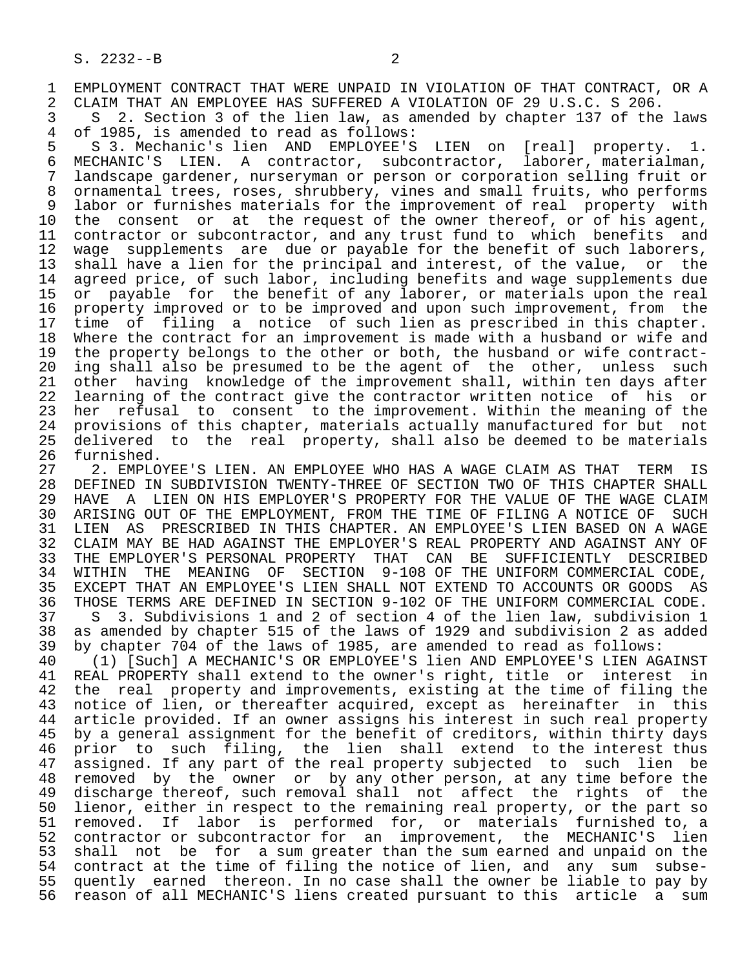1 EMPLOYMENT CONTRACT THAT WERE UNPAID IN VIOLATION OF THAT CONTRACT, OR A<br>2 CLAIM THAT AN EMPLOYEE HAS SUFFERED A VIOLATION OF 29 U.S.C. S 206. 2 CLAIM THAT AN EMPLOYEE HAS SUFFERED A VIOLATION OF 29 U.S.C. S 206.<br>3 S 2. Section 3 of the lien law, as amended by chapter 137 of the

3 S 2. Section 3 of the lien law, as amended by chapter 137 of the laws<br>4 of 1985, is amended to read as follows: 4 of 1985, is amended to read as follows:<br>5 S 3. Mechanic's lien AND EMPLOYEE'S

5 S 3. Mechanic's lien AND EMPLOYEE'S LIEN on [real] property. 1.<br>6 MECHANIC'S LIEN. A contractor, subcontractor, laborer, materialman, 6 MECHANIC'S LIEN. A contractor, subcontractor,<br>7 landscape-gardener, nurseryman or person or corpora 7 landscape gardener, nurseryman or person or corporation selling fruit or 8 ornamental trees, roses, shrubbery, vines and small fruits, who performs<br>8 labor or furnishes materials for the improvement of real property with 9 labor or furnishes materials for the improvement of real property with<br>10 the consent or at the request of the owner thereof, or of his agent, 10 the consent or at the request of the owner thereof, or of his agent,<br>11 contractor or subcontractor, and any trust fund to which benefits and 11 contractor or subcontractor, and any trust fund to which benefits and<br>12 wage supplements are due or payable for the benefit of such laborers, 12 wage supplements are due or payable for the benefit of such laborers,<br>13 shall have a lien for the principal and interest, of the value, or the 13 shall have a lien for the principal and interest, of the value, or the<br>14 agreed price, of such labor, including benefits and wage supplements due agreed price, of such labor, including benefits and wage supplements due 15 or payable for the benefit of any laborer, or materials upon the real<br>16 property improved or to be improved and upon such improvement, from the 16 property improved or to be improved and upon such improvement, from the<br>17 time of filing a notice of such lien as prescribed in this chapter. 17 time of filing a notice of such lien as prescribed in this chapter.<br>18 Where the contract for an improvement is made with a husband or wife and 18 Where the contract for an improvement is made with a husband or wife and<br>19 the property belongs to the other or both, the husband or wife contract-19 the property belongs to the other or both, the husband or wife contract-<br>20 ing shall also be presumed to be the agent of the other, unless such 20 ing shall also be presumed to be the agent of the other, unless such<br>21 other having knowledge of the improvement shall, within ten days after 21 other having knowledge of the improvement shall, within ten days after<br>22 learning of the contract give the contractor written notice of his or 22 learning of the contract give the contractor written notice of his or<br>23 her refusal to consent to the improvement. Within the meaning of the 23 her refusal to consent to the improvement. Within the meaning of the<br>24 provisions of this chapter, materials actually manufactured for but not 20 not the consult of the chapter, materials actually manufactured for but not<br>25 delivered to the real property, shall also be deemed to be materials 25 delivered to the real property, shall also be deemed to be materials

26 furnished.<br>27 2. EMPLO 27 2. EMPLOYEE'S LIEN. AN EMPLOYEE WHO HAS A WAGE CLAIM AS THAT TERM IS<br>28 DEFINED IN SUBDIVISION TWENTY-THREE OF SECTION TWO OF THIS CHAPTER SHALL 28 DEFINED IN SUBDIVISION TWENTY-THREE OF SECTION TWO OF THIS CHAPTER SHALL<br>29 HAVE A LIEN ON HIS EMPLOYER'S PROPERTY FOR THE VALUE OF THE WAGE CLAIM 29 HAVE A LIEN ON HIS EMPLOYER'S PROPERTY FOR THE VALUE OF THE WAGE CLAIM 30 ARISING OUT OF THE EMPLOYMENT, FROM THE TIME OF FILING A NOTICE OF SUCH<br>31 LIEN AS PRESCRIBED IN THIS CHAPTER. AN EMPLOYEE'S LIEN BASED ON A WAGE 31 LIEN AS PRESCRIBED IN THIS CHAPTER. AN EMPLOYEE'S LIEN BASED ON A WAGE<br>32 CLAIM MAY BE HAD AGAINST THE EMPLOYER'S REAL PROPERTY AND AGAINST ANY OF 32 CLAIM MAY BE HAD AGAINST THE EMPLOYER'S REAL PROPERTY AND AGAINST ANY OF<br>33 THE EMPLOYER'S PERSONAL PROPERTY THAT CAN BE SUFFICIENTLY DESCRIBED 33 THE EMPLOYER'S PERSONAL PROPERTY THAT CAN BE 34 WITHIN THE MEANING OF SECTION 9-108 OF THE 34 WITHIN THE MEANING OF SECTION 9-108 OF THE UNIFORM COMMERCIAL CODE,<br>35 EXCEPT THAT AN EMPLOYEE'S LIEN SHALL NOT EXTEND TO ACCOUNTS OR GOODS AS 35 EXCEPT THAT AN EMPLOYEE'S LIEN SHALL NOT EXTEND TO ACCOUNTS OR GOODS AS<br>36 THOSE TERMS ARE DEFINED IN SECTION 9-102 OF THE UNIFORM COMMERCIAL CODE. THOSE TERMS ARE DEFINED IN SECTION 9-102 OF THE UNIFORM COMMERCIAL CODE. 37 S 3. Subdivisions 1 and 2 of section 4 of the lien law, subdivision 1<br>38 as amended by chapter 515 of the laws of 1929 and subdivision 2 as added 38 as amended by chapter 515 of the laws of 1929 and subdivision 2 as added<br>39 by chapter 704 of the laws of 1985, are amended to read as follows:

39 by chapter 704 of the laws of 1985, are amended to read as follows:<br>40 (1) [Such] A MECHANIC'S OR EMPLOYEE'S lien AND EMPLOYEE'S LIEN AG 40 (1) [Such] A MECHANIC'S OR EMPLOYEE'S lien AND EMPLOYEE'S LIEN AGAINST<br>41 REAL PROPERTY shall extend to the owner's right, title or interest in 41 REAL PROPERTY shall extend to the owner's right, title or interest in<br>42 the real property and improvements, existing at the time of filing the 42 the real property and improvements, existing at the time of filing the<br>43 notice of lien, or thereafter acquired, except as hereinafter in this 43 notice of lien, or thereafter acquired, except as hereinafter in this<br>44 article provided. If an owner assigns his interest in such real property 44 article provided. If an owner assigns his interest in such real property<br>45 by a general assignment for the benefit of creditors, within thirty days by a general assignment for the benefit of creditors, within thirty days 46 prior to such filing, the lien shall extend to the interest thus<br>47 assigned. If any part of the real property subjected to such lien be assigned. If any part of the real property subjected to such lien be 48 removed by the owner or by any other-person, at any time-before the<br>49 discharge thereof, such removal shall not affect the rights of the 49 discharge thereof, such removal shall not affect the rights of the<br>50 lienor, either in respect to the remaining real property, or the part so 50 lienor, either in respect to the remaining real property, or the part so<br>51 removed. If labor is performed for, or materials furnished to, a 51 removed. If labor is performed for, or materials furnished to, a<br>52 contractor or subcontractor for an improvement, the MECHANIC'S lien 52 contractor or subcontractor for an improvement, the MECHANIC'S lien<br>53 shall not be for a sum greater than the sum earned and unpaid on the 53 shall not be for a sum greater than the sum earned and unpaid on the<br>54 contract at the time of filing the notice of lien, and any sum subse-54 contract at the time of filing the notice of lien, and any sum subse-<br>55 quently earned thereon. In no case shall the owner be liable to pay by 55 quently earned thereon. In no case shall the owner be liable to pay by<br>56 reason of all MECHANIC'S liens created pursuant to this article a sum 56 reason of all MECHANIC'S liens created pursuant to this article a sum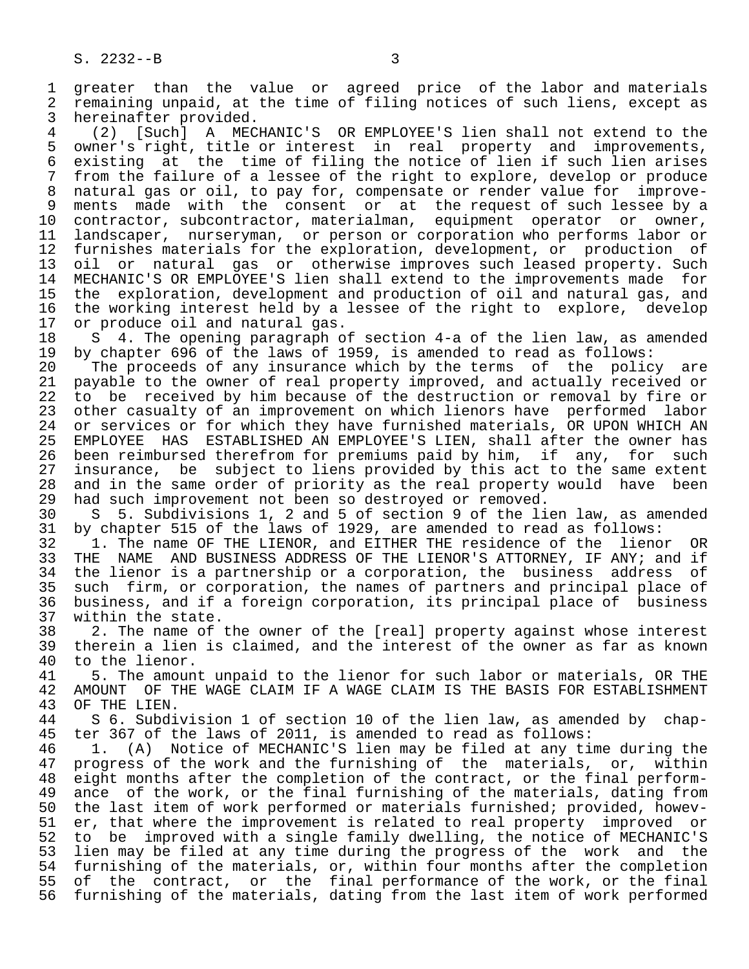1 greater than the value or agreed price of the labor and materials<br>2 remaining unpaid, at the time of filing notices of such liens, except as 2 remaining unpaid, at the time of filing notices of such liens, except as<br>3 hereinafter provided.

3 hereinafter provided.<br>4 (2) [Such] A MEC 4 (2) [Such] A MECHANIC'S OR EMPLOYEE'S lien shall not extend to the 5 owner's right, title or interest in real property and improvements, 6 existing at the time of filing the notice of lien if such lien arises 7 from the failure of a lessee of the right to explore, develop or produce 8 natural gas or oil, to pay for, compensate or render value for improve- 9 ments made with the consent or at the request of such lessee by a<br>10 contractor, subcontractor, materialman, equipment operator or owner, 10 contractor, subcontractor, materialman,<br>11 landscaper, nurseryman, or person or co 11 landscaper, nurseryman, or person or corporation who performs labor or<br>12 furnishes materials for the exploration, development, or production of 12 furnishes materials for the exploration, development, or production of<br>13 oil or natural gas or otherwise improves such leased property. Such 13 oil or natural gas or otherwise improves such leased property. Such<br>14 MECHANIC'S OR EMPLOYEE'S lien shall extend to the improvements made for MECHANIC'S OR EMPLOYEE'S lien shall extend to the improvements made for 15 the exploration, development and production of oil and natural gas, and<br>16 the working interest held by a lessee of the right to explore, develop 16 the working interest held by a lessee of the right to explore, develop 17 or produce oil and natural gas. 17 or produce oil and natural gas.<br>18 S 4. The opening paragraph or

18 S 4. The opening paragraph of section 4-a of the lien law, as amended<br>19 by chapter 696 of the laws of 1959, is amended to read as follows: 19 by chapter 696 of the laws of 1959, is amended to read as follows:<br>20 The proceeds of any insurance which by the terms of the polic

20 The proceeds of any insurance which by the terms of the policy are<br>21 payable to the owner of real property improved, and actually received or 21 payable to the owner of real property improved, and actually received or<br>22 to be received by him because of the destruction or removal by fire or 22 to be received by him because of the destruction or removal by fire or<br>23 other casualty of an improvement on which lienors have performed labor other casualty of an improvement on which lienors have performed labor 24 or services or for which they have furnished materials, OR UPON WHICH AN<br>25 EMPLOYEE HAS ESTABLISHED AN EMPLOYEE'S LIEN, shall after the owner has 25 EMPLOYEE HAS ESTABLISHED AN EMPLOYEE'S LIEN, shall after the owner has 26 been reimbursed therefrom for premiums paid by him, if any, for such<br>27 insurance, be subject to liens provided by this act to the same extent 27 insurance, be subject to liens provided by this act to the same extent<br>28 and in the same order of priority as the real property would have been 28 and in the same order of priority as the real property would have been<br>29 had such improvement not been so destroyed or removed. 29 had such improvement not been so destroyed or removed.<br>30 S 5. Subdivisions 1, 2 and 5 of section 9 of the li

30 S 5. Subdivisions 1, 2 and 5 of section 9 of the lien law, as amended<br>31 by chapter 515 of the laws of 1929, are amended to read as follows: 31 by chapter 515 of the laws of 1929, are amended to read as follows:<br>32 1. The name OF THE LIENOR, and EITHER THE residence of the lienor

32 1. The name OF THE LIENOR, and EITHER THE residence of the lienor OR<br>33 THE NAME AND BUSINESS ADDRESS OF THE LIENOR'S ATTORNEY, IF ANY; and if 33 THE NAME AND BUSINESS ADDRESS OF THE LIENOR'S ATTORNEY, IF ANY; and if<br>34 the lienor is a partnership or a corporation, the business address of 34 the lienor is a partnership or a corporation, the business address of<br>35 such firm, or corporation, the names of partners and principal place of 35 such firm, or corporation, the names of partners and principal place of<br>36 business, and if a foreign corporation, its principal place of business business, and if a foreign corporation, its principal place of business 37 within the state.<br>38 2. The name of

38 2. The name of the owner of the [real] property against whose interest<br>39 therein a lien is claimed, and the interest of the owner as far as known 39 therein a lien is claimed, and the interest of the owner as far as known<br>40 to the lienor. 40 to the lienor.<br>41 5. The amoun

41 5. The amount unpaid to the lienor for such labor or materials, OR THE 42 AMOUNT OF THE WAGE CLAIM IF A WAGE CLAIM IS THE BASIS FOR ESTABLISHMENT 42 AMOUNT OF THE WAGE CLAIM IF A WAGE CLAIM IS THE BASIS FOR ESTABLISHMENT 43 OF THE LIEN. 43 OF THE LIEN.<br>44 S 6. Subdi

44 S 6. Subdivision 1 of section 10 of the lien law, as amended by chap-<br>45 ter 367 of the laws of 2011, is amended to read as follows: ter 367 of the laws of 2011, is amended to read as follows:

46 1. (A) Notice of MECHANIC'S lien may be filed at any time during the<br>47 progress of the work and the furnishing of the materials, or, within progress of the work and the furnishing of the materials, or, within 48 eight months after the completion of the contract, or the final perform-<br>49 ance of the work, or the final furnishing of the materials, dating from 49 ance of the work, or the final furnishing of the materials, dating from<br>50 the last item of work performed or materials furnished; provided, howev-50 the last item of work performed or materials furnished; provided, howev-<br>51 er, that where the improvement is related to real property improved or 51 er, that where the improvement is related to real property improved or<br>52 to be improved with a single family dwelling, the notice of MECHANIC'S 52 to be improved with a single family dwelling, the notice of MECHANIC'S<br>53 lien may be filed at any time during the progress of the work and the 53 lien may be filed at any time during the progress of the work and the<br>54 furnishing of the materials, or, within four months after the completion 54 furnishing of the materials, or, within four months after the completion<br>55 of the contract, or the final performance of the work, or the final 55 of the contract, or the final performance of the work, or the final<br>56 furnishing of the materials, dating from the last item of work performed furnishing of the materials, dating from the last item of work performed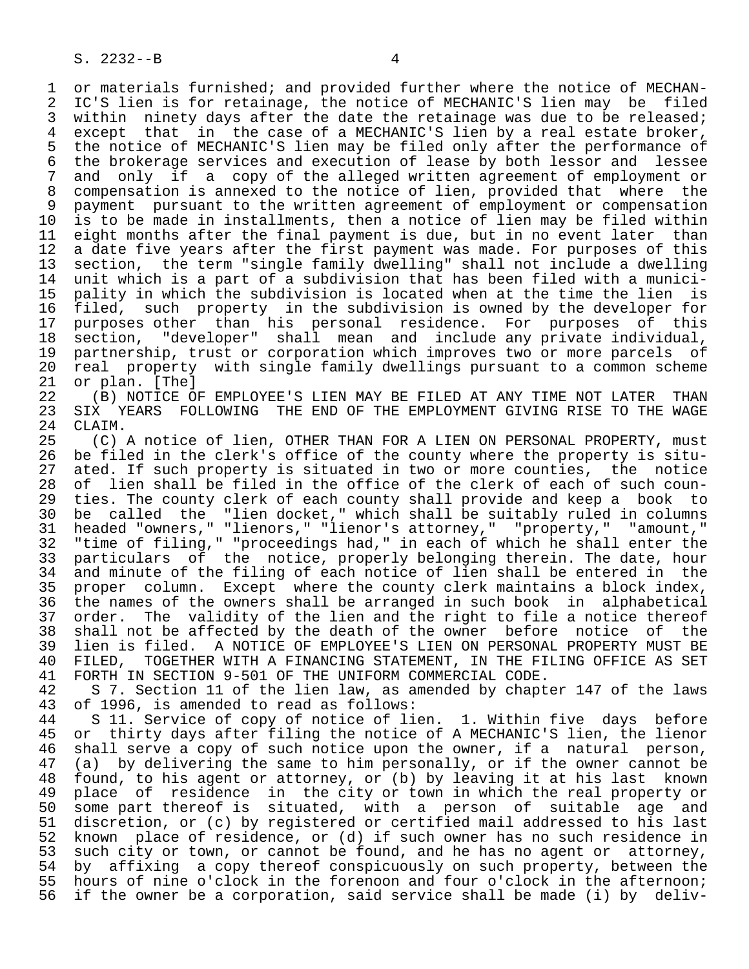1 or materials furnished; and provided further where the notice of MECHAN-<br>2 IC'S lien is for retainage, the notice of MECHANIC'S lien may be filed 2 IC'S lien is for retainage, the notice of MECHANIC'S lien may be filed<br>3 within ninety days after the date the retainage was due to be released; 3 within ninety days after the date the retainage was due to be released;<br>4 except that in the case of a MECHANIC'S lien by a real estate broker. 4 except that in the case of a MECHANIC'S lien by a real estate broker,<br>5 the notice of MECHANIC'S lien may be filed only after the performance of 5 the notice of MECHANIC'S lien may be filed only after the performance of<br>6 the brokerage services and execution of lease by both lessor and lessee 6 the brokerage services and execution of lease by both lessor and lessee<br>7 and only if a copy of the alleged written agreement of employment or 7 and only if a copy of the alleged written agreement of employment or<br>8 compensation is annexed to the notice of lien, provided that where the 8 compensation is annexed to the notice of lien, provided that where the<br>9 payment pursuant to the written agreement of employment or compensation 9 payment pursuant to the written agreement of employment or compensation<br>10 is to be made in installments, then a notice of lien may be filed within 10 is to be made in installments, then a notice of lien may be filed within<br>11 eight months after the final payment is due, but in no event later than 11 eight months after the final payment is due, but in no event later than<br>12 a date five years after the first payment was made. For purposes of this 12 a date five years after the first payment was made. For purposes of this<br>13 section, the term "single family dwelling" shall not include a dwelling 13 section, the term "single family dwelling" shall not include a dwelling unit which is a part of a subdivision that has been filed with a munici-15 pality in which the subdivision is located when at the time the lien is<br>16 filed, such property in the subdivision is owned by the developer for 16 filed, such property in the subdivision is owned by the developer for<br>17 purposes other than his personal residence. For purposes of this 17 purposes other than his personal residence. For purposes of this<br>18 section, "developer" shall mean and include any private individual, 18 section, "developer" shall mean and include any private individual,<br>19 partnership, trust or corporation which improves two or more parcels of 19 partnership, trust or corporation which improves two or more parcels of<br>20 real property with single family dwellings pursuant to a common scheme 20 real property with single family dwellings pursuant to a common scheme<br>21 or plan. [The]

21 or plan. [The]<br>22 (B) NOTICE O 22 (B) NOTICE OF EMPLOYEE'S LIEN MAY BE FILED AT ANY TIME NOT LATER THAN<br>23 SIX YEARS FOLLOWING THE END OF THE EMPLOYMENT GIVING RISE TO THE WAGE 23 SIX YEARS FOLLOWING THE END OF THE EMPLOYMENT GIVING RISE TO THE WAGE 24 CLAIM. 24 CLAIM.<br>25 (C)

(C) A notice of lien, OTHER THAN FOR A LIEN ON PERSONAL PROPERTY, must 26 be filed in the clerk's office of the county where the property is situ- 27 ated. If such property is situated in two or more counties, the notice<br>28 of lien shall be filed in the office of the clerk of each of such coun-28 of lien shall be filed in the office of the clerk of each of such coun-<br>29 ties. The county clerk of each county shall provide and keep a book to 29 ties. The county clerk of each county shall provide and keep a book to<br>30 be called the "lien docket." which shall be suitably ruled in columns 30 be called the "lien docket," which shall be suitably ruled in columns<br>31 headed "owners." "lienors." "lienor's attorney." "property." "amount." 31 headed "owners," "lienors," "lienor's attorney," "property," "amount,"<br>32 "time of filing," "proceedings had," in each of which he shall enter the 32 "time of filing," "proceedings had," in each of which he shall enter the<br>33 particulars of the notice, properly belonging therein. The date, hour 33 particulars of the notice, properly belonging therein. The date, hour<br>34 and minute of the filing of each notice of lien shall be entered in the 34 and minute of the filing of each notice of lien shall be entered in the<br>35 proper column. Except where the county clerk maintains a block index. 35 proper column. Except where the county clerk maintains a block index,<br>36 the names of the owners shall be arranged in such book in alphabetical the names of the owners shall be arranged in such book in alphabetical 37 order. The validity of the lien and the right to file a notice thereof<br>38 shall not be affected by the death of the owner before notice of the 38 shall not be affected by the death of the owner before notice of the<br>39 lien is filed. A NOTICE OF EMPLOYEE'S LIEN ON PERSONAL PROPERTY MUST BE 39 lien is filed. A NOTICE OF EMPLOYEE'S LIEN ON PERSONAL PROPERTY MUST BE<br>40 FILED, TOGETHER WITH A FINANCING STATEMENT, IN THE FILING OFFICE AS SET 40 FILED, TOGETHER WITH A FINANCING STATEMENT, IN THE FILING OFFICE AS SET<br>41 FORTH IN SECTION 9-501 OF THE UNIFORM COMMERCIAL CODE. 41 FORTH IN SECTION 9-501 OF THE UNIFORM COMMERCIAL CODE.<br>42 S 7. Section 11 of the lien law, as amended by chapt

42 S 7. Section 11 of the lien law, as amended by chapter 147 of the laws<br>43 of 1996, is amended to read as follows: 43 of 1996, is amended to read as follows:<br>44 S 11. Service of copy of notice of li

44 S 11. Service of copy of notice of lien. 1. Within five days before<br>45 or thirty days after filing the notice of A MECHANIC'S lien, the lienor 45 or thirty days after filing the notice of A MECHANIC'S lien, the lienor 46 shall serve a copy of such notice upon the owner, if a natural person,<br>47 (a) by delivering the same to him personally, or if the owner cannot be 47 (a) by delivering the same to him personally, or if the owner cannot be 48 found, to his agent or attorney, or (b) by leaving it at his last known 48 found, to his agent or attorney, or (b) by leaving it at his last known<br>49 place of residence in the city or town in which the real property or 49 place of residence in the city or town in which the real property or<br>50 some part thereof is situated, with a person of suitable age and 50 some part thereof is situated, with a person of suitable age and<br>51 discretion, or (c) by registered or certified mail addressed to his last 51 discretion, or (c) by registered or certified mail addressed to his last<br>52 known place of residence, or (d) if such owner has no such residence in 52 known place of residence, or (d) if such owner has no such residence in 53 such city or town, or cannot be found, and he has no agent or attorney. 53 such city or town, or cannot be found, and he has no agent or attorney,<br>54 by affixing a copy thereof conspicuously on such property, between the 54 by affixing a copy thereof conspicuously on such property, between the<br>55 hours of nine o'clock in the forenoon and four o'clock in the afternoon; 55 hours of nine o'clock in the forenoon and four o'clock in the afternoon;<br>56 if the owner be a corporation, said service shall be made (i) by delivif the owner be a corporation, said service shall be made (i) by deliv-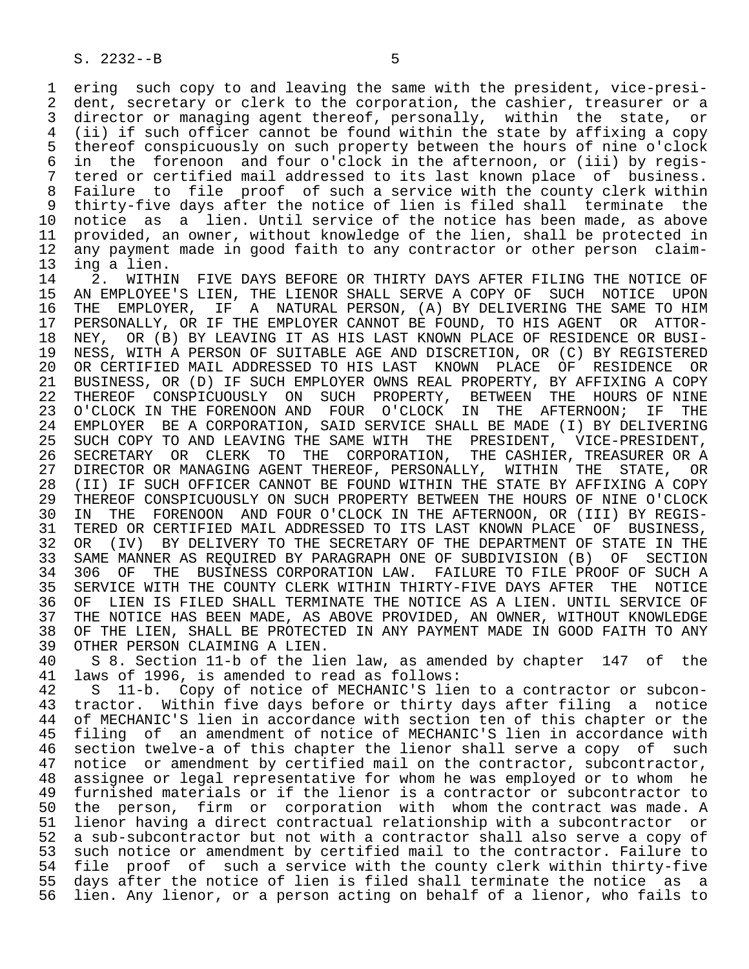1 ering such copy to and leaving the same with the president, vice-presi-<br>2 dent, secretary or clerk to the corporation, the cashier, treasurer or a 2 dent, secretary or clerk to the corporation, the cashier, treasurer or a<br>3 director or managing agent thereof, personally, within the state, or director or managing agent thereof, personally, within the state, or 4 (ii) if such officer cannot be found within the state by affixing a copy<br>5 thereof conspicuously on such property between the hours of nine o'clock 5 thereof conspicuously on such property between the hours of nine o'clock<br>6 in the forenoon and four o'clock in the afternoon, or (iii) by regis- 6 in the forenoon and four o'clock in the afternoon, or (iii) by regis- 7 tered or certified mail addressed to its last known place of business. 8 Failure to file proof of such a service with the county clerk within<br>9 thirty-five days after the notice of lien is filed shall terminate the thirty-five days after the notice of lien is filed shall terminate the 10 notice as a lien. Until service of the notice has been made, as above<br>11 provided, an owner, without knowledge of the lien, shall be protected in 11 provided, an owner, without knowledge of the lien, shall be protected in<br>12 any payment made in good faith to any contractor or other person claim-12 any payment made in good faith to any contractor or other person claim-<br>13 ing a lien.

13 ing a lien.<br>14 2. WITHI 2. WITHIN FIVE DAYS BEFORE OR THIRTY DAYS AFTER FILING THE NOTICE OF 15 AN EMPLOYEE'S LIEN, THE LIENOR SHALL SERVE A COPY OF SUCH NOTICE UPON<br>16 THE EMPLOYER, IF A NATURAL PERSON, (A) BY DELIVERING THE SAME TO HIM 16 THE EMPLOYER, IF A NATURAL PERSON, (A) BY DELIVERING THE SAME TO HIM<br>17 PERSONALLY, OR IF THE EMPLOYER CANNOT BE FOUND, TO HIS AGENT OR ATTOR-17 PERSONALLY, OR IF THE EMPLOYER CANNOT BE FOUND, TO HIS AGENT OR ATTOR-<br>18 NEY, OR (B) BY LEAVING IT AS HIS LAST KNOWN PLACE OF RESIDENCE OR BUSI-18 NEY, OR (B) BY LEAVING IT AS HIS LAST KNOWN PLACE OF RESIDENCE OR BUSI-<br>19 NESS, WITH A PERSON OF SUITABLE AGE AND DISCRETION, OR (C) BY REGISTERED 19 NESS, WITH A PERSON OF SUITABLE AGE AND DISCRETION, OR (C) BY REGISTERED 20 OR CERTIFIED MAIL ADDRESSED TO HIS LAST KNOWN PLACE OF RESIDENCE OR<br>21 BUSINESS, OR (D) IF SUCH EMPLOYER OWNS REAL PROPERTY, BY AFFIXING A COPY 21 BUSINESS, OR (D) IF SUCH EMPLOYER OWNS REAL PROPERTY, BY AFFIXING A COPY<br>22 THEREOF CONSPICUOUSLY ON SUCH PROPERTY, BETWEEN THE HOURS OF NINE 22 THEREOF CONSPICUOUSLY ON SUCH PROPERTY, BETWEEN THE HOURS OF NINE<br>23 O'CLOCK IN THE FORENOON AND FOUR O'CLOCK IN THE AFTERNOON; IF THE 23 O'CLOCK IN THE FORENOON AND FOUR O'CLOCK IN THE AFTERNOON; IF THE 24 EMPLOYER BE A CORPORATION, SAID SERVICE SHALL BE MADE (I) BY DELIVERING<br>25 SUCH COPY TO AND LEAVING THE SAME WITH THE PRESIDENT. VICE-PRESIDENT. 25 SUCH COPY TO AND LEAVING THE SAME WITH THE PRESIDENT, VICE-PRESIDENT, 26 SECRETARY OR CLERK TO THE CORPORATION, THE CASHIER, TREASURER OR A<br>27 DIRECTOR OR MANAGING AGENT THEREOF, PERSONALLY, WITHIN THE STATE, OR 27 DIRECTOR OR MANAGING AGENT THEREOF, PERSONALLY, WITHIN THE STATE, OR<br>28 (II) IF SUCH OFFICER CANNOT BE FOUND WITHIN THE STATE BY AFFIXING A COPY 28 (II) IF SUCH OFFICER CANNOT BE FOUND WITHIN THE STATE BY AFFIXING A COPY<br>29 THEREOF CONSPICUOUSLY ON SUCH PROPERTY BETWEEN THE HOURS OF NINE O'CLOCK 29 THEREOF CONSPICUOUSLY ON SUCH PROPERTY BETWEEN THE HOURS OF NINE O'CLOCK<br>30 IN THE FORENOON AND FOUR O'CLOCK IN THE AFTERNOON, OR (III) BY REGIS-30 IN THE FORENOON AND FOUR O'CLOCK IN THE AFTERNOON, OR (III) BY REGIS-<br>31 TERED OR CERTIFIED MAIL ADDRESSED TO ITS LAST KNOWN PLACE OF BUSINESS. 31 TERED OR CERTIFIED MAIL ADDRESSED TO ITS LAST KNOWN PLACE OF BUSINESS,<br>32 OR (IV) BY DELIVERY TO THE SECRETARY OF THE DEPARTMENT OF STATE IN THE 32 OR (IV) BY DELIVERY TO THE SECRETARY OF THE DEPARTMENT OF STATE IN THE 33 SAME MANNER AS REOUIRED BY PARAGRAPH ONE OF SUBDIVISION (B) OF SECTION 33 SAME MANNER AS REQUIRED BY PARAGRAPH ONE OF SUBDIVISION (B) OF SECTION<br>34 306 OF THE BUSINESS CORPORATION LAW. FAILURE TO FILE PROOF OF SUCH A 34 306 OF THE BUSINESS CORPORATION LAW. FAILURE TO FILE PROOF OF SUCH A<br>35 SERVICE WITH THE COUNTY CLERK WITHIN THIRTY-FIVE DAYS AFTER THE NOTICE 35 SERVICE WITH THE COUNTY CLERK WITHIN THIRTY-FIVE DAYS AFTER THE NOTICE<br>36 OF LIEN IS FILED SHALL TERMINATE THE NOTICE AS A LIEN. UNTIL SERVICE OF OF LIEN IS FILED SHALL TERMINATE THE NOTICE AS A LIEN. UNTIL SERVICE OF 37 THE NOTICE HAS BEEN MADE, AS ABOVE PROVIDED, AN OWNER, WITHOUT KNOWLEDGE<br>38 OF THE LIEN, SHALL BE PROTECTED IN ANY PAYMENT MADE IN GOOD FAITH TO ANY 38 OF THE LIEN, SHALL BE PROTECTED IN ANY PAYMENT MADE IN GOOD FAITH TO ANY SANGLET OF ANY SANGLET AND SERIES OF THE PERSON CLAIMING A LIEN. 39 OTHER PERSON CLAIMING A LIEN.<br>40 S 8. Section 11-b of the li

 40 S 8. Section 11-b of the lien law, as amended by chapter 147 of the 41 laws of 1996, is amended to read as follows:

42 S 11-b. Copy of notice of MECHANIC'S lien to a contractor or subcon-<br>43 tractor. Within five days before or thirty days after filing a notice 43 tractor. Within five days before or thirty days after filing a notice<br>44 of MECHANIC'S lien in accordance with section ten of this chapter or the 44 of MECHANIC'S lien in accordance with section ten of this chapter or the<br>45 filing of an amendment of notice of MECHANIC'S lien in accordance with 45 filing of an amendment of notice of MECHANIC'S lien in accordance with 46 section twelve-a of this chapter the lienor shall serve a copy of such<br>47 notice or amendment by certified mail on the contractor, subcontractor, 47 notice or amendment by certified mail on the contractor, subcontractor, 48 assignee or legal representative for whom he was employed or to whom he<br>49 furnished materials or if the lienor is a contractor or subcontractor to 49 furnished materials or if the lienor is a contractor or subcontractor to<br>50 the person, firm or corporation with whom the contract was made. A 50 the person, firm or corporation with whom the contract was made. A<br>51 lienor having a direct contractual relationship with a subcontractor or 1ienor having a direct contractual relationship with a subcontractor or 52 a sub-subcontractor but not with a contractor shall also serve a copy of<br>53 such notice or amendment by certified mail to the contractor. Failure to 53 such notice or amendment by certified mail to the contractor. Failure to<br>54 file proof of such a service with the county clerk within thirty-five file proof of such a service with the county clerk within thirty-five 55 days after the notice of lien is filed shall terminate the notice as a<br>56 lien. Any lienor, or a person acting on behalf of a lienor, who fails to lien. Any lienor, or a person acting on behalf of a lienor, who fails to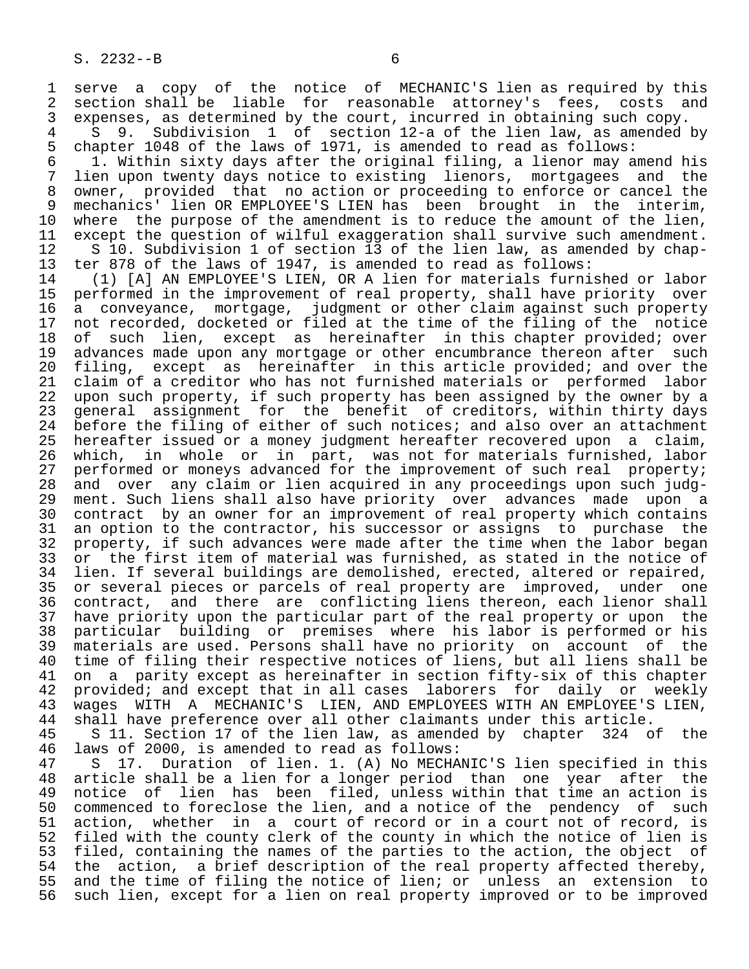1 serve a copy of the notice of MECHANIC'S lien as required by this<br>2 section shall be liable for reasonable attorney's fees, costs and 2 section shall be liable for reasonable attorney's fees, costs and<br>3 expenses, as determined by the court, incurred in obtaining such copy. 3 expenses, as determined by the court, incurred in obtaining such copy.<br>4 S 9. Subdivision 1 of section 12-a of the lien law, as amended

4 S 9. Subdivision 1 of section 12-a of the lien law, as amended by<br>5 chapter 1048 of the laws of 1971, is amended to read as follows: 5 chapter 1048 of the laws of 1971, is amended to read as follows:<br>6 1. Within sixty days after the original filing, a lienor may a 6 1. Within sixty days after the original filing, a lienor may amend his 7 lien upon twenty days notice to existing lienors, mortgagees and the<br>8 owner, provided that no action or proceeding to enforce or cancel the 8 owner, provided that no action or proceeding to enforce or cancel the<br>9 mechanics' lien OR EMPLOYEE'S LIEN has been brought in the interim. 9 mechanics' lien OR EMPLOYEE'S LIEN has been brought in the interim,<br>10 where the purpose of the amendment is to reduce the amount of the lien. 10 where the purpose of the amendment is to reduce the amount of the lien,<br>11 except the question of wilful exaggeration shall survive such amendment. 11 except the question of wilful exaggeration shall survive such amendment.<br>12 S 10. Subdivision 1 of section 13 of the lien law, as amended by chap-12 S 10. Subdivision 1 of section 13 of the lien law, as amended by chap-<br>13 ter 878 of the laws of 1947, is amended to read as follows:

13 ter 878 of the laws of 1947, is amended to read as follows:<br>14 (1) [A] AN EMPLOYEE'S LIEN, OR A lien for materials furni 14 (1) [A] AN EMPLOYEE'S LIEN, OR A lien for materials furnished or labor 15 performed in the improvement of real property, shall have priority over 16 a conveyance, mortgage, judgment or other claim against such property<br>17 not recorded, docketed or filed at the time of the filing of the notice 17 not recorded, docketed or filed at the time of the filing of the notice<br>18 of such lien, except as hereinafter in this chapter provided; over 18 of such lien, except as hereinafter in this chapter provided; over<br>19 advances made upon any mortgage or other encumbrance thereon after such 19 advances made upon any mortgage or other encumbrance thereon after such<br>20 filing, except as hereinafter in this article provided; and over the 20 filing, except as hereinafter in this article provided; and over the<br>21 claim of a creditor who has not furnished materials or performed labor 21 claim of a creditor who has not furnished materials or performed labor<br>22 upon such property, if such property has been assigned by the owner by a 22 upon such property, if such property has been assigned by the owner by a<br>23 general assignment for the benefit of creditors, within thirty days 23 general assignment for the benefit of creditors, within thirty days<br>24 before the filing of either of such notices; and also over an attachment 24 before the filing of either of such notices; and also over an attachment<br>25 hereafter issued or a money judgment hereafter recovered upon a claim, hereafter issued or a money judgment hereafter recovered upon a claim, 26 which, in whole or in part, was not for materials furnished, labor<br>27 performed or moneys advanced for the improvement of such real property; 27 performed or moneys advanced for the improvement of such real property;<br>28 and over any claim or lien acquired in any proceedings upon such judg- 28 and over any claim or lien acquired in any proceedings upon such judg- 29 ment. Such liens shall also have priority over advances made upon a<br>30 contract by an owner for an improvement of real property which contains 30 contract by an owner for an improvement of real property which contains<br>31 an option to the contractor, his successor or assigns to purchase the 31 an option to the contractor, his successor or assigns to purchase the<br>32 property, if such advances were made after the time when the labor began 32 property, if such advances were made after the time when the labor began<br>33 or the first item of material was furnished, as stated in the notice of 33 or the first item of material was furnished, as stated in the notice of<br>34 lien. If several buildings are demolished, erected, altered or repaired, 34 lien. If several buildings are demolished, erected, altered or repaired,<br>35 or several pieces or parcels of real property are improved, under one 35 or several pieces or parcels of real property are improved, under one<br>36 contract, and there are conflicting liens thereon, each lienor shall contract, and there are conflicting liens thereon, each lienor shall 37 have priority upon the particular part of the real property or upon the<br>38 particular building or premises where his labor is performed or his 38 particular building or premises where his labor is performed or his 39 materials are used. Persons shall have no priority on account of the<br>40 time of filing their respective notices of liens, but all liens shall be 40 time of filing their respective notices of liens, but all liens shall be<br>41 on a parity except as hereinafter in section fifty-six of this chapter 41 on a parity except as hereinafter in section fifty-six of this chapter<br>42 provided; and except that in all cases laborers for daily or weekly 42 provided; and except that in all cases laborers for daily or weekly<br>43 wages WITH A MECHANIC'S LIEN, AND EMPLOYEES WITH AN EMPLOYEE'S LIEN, 43 wages WITH A MECHANIC'S LIEN, AND EMPLOYEES WITH AN EMPLOYEE'S LIEN,<br>44 shall have preference over all other claimants under this article.

44 shall have preference over all other claimants under this article.<br>45 S 11. Section 17 of the lien law, as amended by chapter 324 o 45 S 11. Section 17 of the lien law, as amended by chapter 324 of the 46 laws of 2000, is amended to read as follows: 46 laws of 2000, is amended to read as follows:

 47 S 17. Duration of lien. 1. (A) No MECHANIC'S lien specified in this 48 article shall be a lien for a longer period than one year after the 49 notice of lien has been filed, unless within that time an action is<br>50 commenced to foreclose the lien, and a notice of the pendency of such 50 commenced to foreclose the lien, and a notice of the pendency of such<br>51 action, whether in a court of record or in a court not of record, is 51 action, whether in a court of record or in a court not of record, is<br>52 filed with the county clerk of the county in which the notice of lien is 52 filed with the county clerk of the county in which the notice of lien is<br>53 filed, containing the names of the parties to the action, the object of 53 filed, containing the names of the parties to the action, the object of<br>54 the action, a brief description of the real property affected thereby, 54 the action, a brief description of the real property affected thereby,<br>55 and the time of filing the notice of lien; or unless an extension to 55 and the time of filing the notice of lien; or unless an extension to<br>56 such lien, except for a lien on real property improved or to be improved such lien, except for a lien on real property improved or to be improved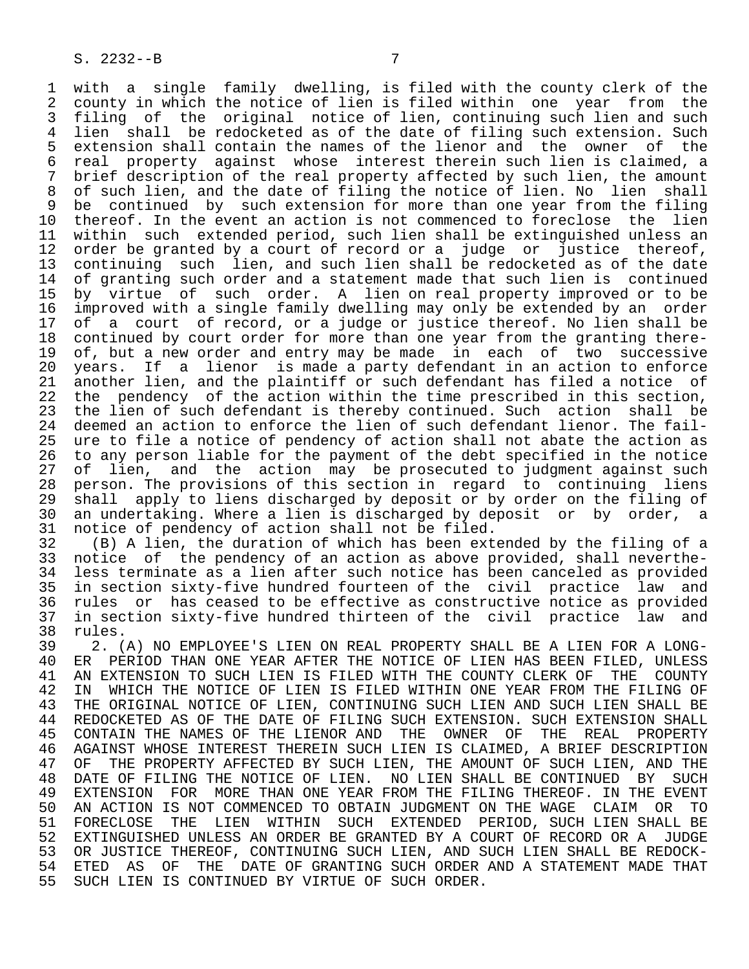1 with a single family dwelling, is filed with the county clerk of the<br>2 county in which the notice of lien is filed within one year from the 2 county in which the notice of lien is filed within one year from the<br>3 filing of the original notice of lien, continuing such lien and such 3 filing of the original notice of lien, continuing such lien and such 4 lien shall be redocketed as of the date of filing such extension. Such<br>5 extension shall contain the names of the lienor and the owner of the 5 extension shall contain the names of the lienor and the owner of the<br>6 real property against whose interest therein such lien is claimed, a 6 real property against whose interest therein such lien is claimed, a<br>7 brief description of the real property affected by such lien, the amount brief description of the real property affected by such lien, the amount 8 of such lien, and the date of filing the notice of lien. No lien shall<br>9 be continued by such extension for more than one year from the filing 9 be continued by such extension for more than one year from the filing<br>10 thereof. In the event an action is not commenced to foreclose the lien 10 thereof. In the event an action is not commenced to foreclose the lien<br>11 within such extended period, such lien shall be extinguished unless an 11 within such extended period, such lien shall be extinguished unless an<br>12 order be granted by a court of record or a judge or justice thereof, 12 order be granted by a court of record or a judge or justice thereof, 13 continuing such lien, and such lien shall be redocketed as of the date 14 of granting such order and a statement made that such lien is continued 15 by virtue of such order. A lien on real property improved or to be 16 improved with a single family dwelling may only be extended by an order<br>17 of a court of record, or a judge or justice thereof. No lien shall be 17 of a court of record, or a judge or justice thereof. No lien shall be<br>18 continued by court order for more than one year from the granting there-18 continued by court order for more than one year from the granting there-<br>19 of, but a new order and entry may be made in each of two successive 19 of, but a new order and entry may be made in each of two successive<br>20 years. If a lienor is made a party defendant in an action to enforce 20 years. If a lienor is made a party defendant in an action to enforce<br>21 another lien, and the plaintiff or such defendant has filed a notice of 21 another lien, and the plaintiff or such defendant has filed a notice of<br>22 the pendency of the action within the time prescribed in this section, 22 the pendency of the action within the time prescribed in this section,<br>23 the lien of such defendant is thereby continued. Such action shall be 23 the lien of such defendant is thereby continued. Such action shall be<br>24 deemed an action to enforce the lien of such defendant lienor. The fail-24 deemed an action to enforce the lien of such defendant lienor. The fail-<br>25 ure to file a notice of pendency of action shall not abate the action as ure to file a notice of pendency of action shall not abate the action as 26 to any person liable for the payment of the debt specified in the notice<br>27 of lien, and the action may be prosecuted to judgment against such 27 of lien, and the action may be prosecuted to judgment against such<br>28 person. The provisions of this section in regard to continuing liens 28 person. The provisions of this section in regard to continuing liens<br>29 shall apply to liens discharged by deposit or by order on the filing of 29 shall apply to liens discharged by deposit or by order on the filing of<br>20 an undertaking. Where a lien is discharged by deposit or by order, a 30 an undertaking. Where a lien is discharged by deposit or by order, a<br>31 notice of pendency of action shall not be filed. 31 notice of pendency of action shall not be filed.<br>32 (B) A lien, the duration of which has been ext

32 (B) A lien, the duration of which has been extended by the filing of a<br>33 notice of the pendency of an action as above provided, shall neverthe-33 notice of the pendency of an action as above provided, shall neverthe-<br>34 less terminate as a lien after such notice has been canceled as provided 34 less terminate as a lien after such notice has been canceled as provided<br>35 in section sixty-five hundred fourteen of the civil practice law and 35 in section sixty-five hundred fourteen of the civil practice law and<br>36 rules or has ceased to be effective as constructive notice as provided rules or has ceased to be effective as constructive notice as provided 37 in section sixty-five hundred thirteen of the civil practice law and 38 rules.<br>39 2. (

39 2. (A) NO EMPLOYEE'S LIEN ON REAL PROPERTY SHALL BE A LIEN FOR A LONG-<br>40 ER PERIOD THAN ONE YEAR AFTER THE NOTICE OF LIEN HAS BEEN FILED, UNLESS 40 ER PERIOD THAN ONE YEAR AFTER THE NOTICE OF LIEN HAS BEEN FILED, UNLESS<br>41 AN EXTENSION TO SUCH LIEN IS FILED WITH THE COUNTY CLERK OF THE COUNTY 41 AN EXTENSION TO SUCH LIEN IS FILED WITH THE COUNTY CLERK OF THE COUNTY<br>42 IN WHICH THE NOTICE OF LIEN IS FILED WITHIN ONE YEAR FROM THE FILING OF 42 IN WHICH THE NOTICE OF LIEN IS FILED WITHIN ONE YEAR FROM THE FILING OF<br>43 THE ORIGINAL NOTICE OF LIEN, CONTINUING SUCH LIEN AND SUCH LIEN SHALL BE 43 THE ORIGINAL NOTICE OF LIEN, CONTINUING SUCH LIEN AND SUCH LIEN SHALL BE<br>44 REDOCKETED AS OF THE DATE OF FILING SUCH EXTENSION. SUCH EXTENSION SHALL 44 REDOCKETED AS OF THE DATE OF FILING SUCH EXTENSION. SUCH EXTENSION SHALL<br>45 CONTAIN THE NAMES OF THE LIENOR AND THE OWNER OF THE REAL PROPERTY 45 CONTAIN THE NAMES OF THE LIENOR AND THE OWNER OF THE REAL PROPERTY 46 AGAINST WHOSE INTEREST THEREIN SUCH LIEN IS CLAIMED, A BRIEF DESCRIPTION<br>47 OF THE PROPERTY AFFECTED BY SUCH LIEN, THE AMOUNT OF SUCH LIEN, AND THE 47 OF THE PROPERTY AFFECTED BY SUCH LIEN, THE AMOUNT OF SUCH LIEN, AND THE 48 DATE OF FILING THE NOTICE OF LIEN. NO LIEN SHALL BE CONTINUED BY SUCH 48 DATE OF FILING THE NOTICE OF LIEN. NO LIEN SHALL BE CONTINUED BY SUCH<br>49 EXTENSION FOR MORE THAN ONE YEAR FROM THE FILING THEREOF. IN THE EVENT 49 EXTENSION FOR MORE THAN ONE YEAR FROM THE FILING THEREOF. IN THE EVENT<br>50 AN ACTION IS NOT COMMENCED TO OBTAIN JUDGMENT ON THE WAGE CLAIM OR TO 50 AN ACTION IS NOT COMMENCED TO OBTAIN JUDGMENT ON THE WAGE CLAIM OR TO<br>51 FORECLOSE THE LIEN WITHIN SUCH EXTENDED PERIOD, SUCH LIEN SHALL BE 51 FORECLOSE THE LIEN WITHIN SUCH EXTENDED PERIOD, SUCH LIEN SHALL BE<br>52 EXTINGUISHED UNLESS AN ORDER BE GRANTED BY A COURT OF RECORD OR A JUDGE 52 EXTINGUISHED UNLESS AN ORDER BE GRANTED BY A COURT OF RECORD OR A JUDGE<br>53 OR JUSTICE THEREOF, CONTINUING SUCH LIEN, AND SUCH LIEN SHALL BE REDOCK-53 OR JUSTICE THEREOF, CONTINUING SUCH LIEN, AND SUCH LIEN SHALL BE REDOCK-<br>54 ETED AS OF THE DATE OF GRANTING SUCH ORDER AND A STATEMENT MADE THAT 54 ETED AS OF THE DATE OF GRANTING SUCH ORDER AND A STATEMENT MADE THAT<br>55 SUCH LIEN IS CONTINUED BY VIRTUE OF SUCH ORDER. SUCH LIEN IS CONTINUED BY VIRTUE OF SUCH ORDER.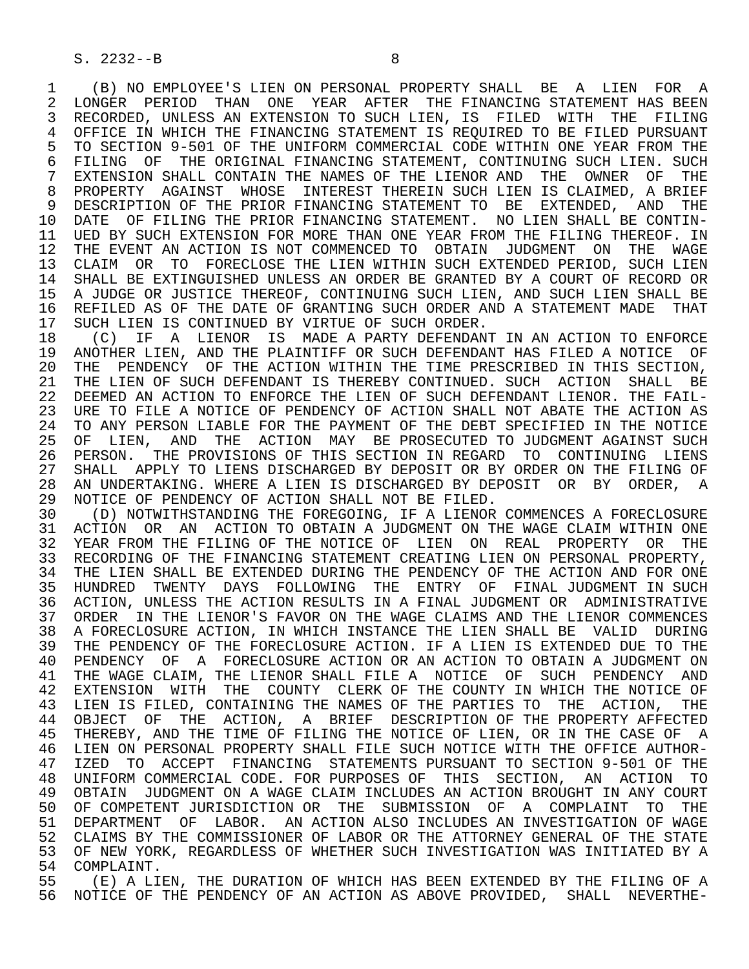1 (B) NO EMPLOYEE'S LIEN ON PERSONAL PROPERTY SHALL BE A LIEN FOR A 2 LONGER PERIOD THAN ONE YEAR AFTER THE FINANCING STATEMENT HAS BEEN<br>3 RECORDED, UNLESS AN EXTENSION TO SUCH LIEN, IS FILED WITH THE FILING RECORDED, UNLESS AN EXTENSION TO SUCH LIEN, IS FILED WITH THE FILING 4 OFFICE IN WHICH THE FINANCING STATEMENT IS REQUIRED TO BE FILED PURSUANT<br>5 TO SECTION 9-501 OF THE UNIFORM COMMERCIAL CODE WITHIN ONE YEAR FROM THE 5 TO SECTION 9-501 OF THE UNIFORM COMMERCIAL CODE WITHIN ONE YEAR FROM THE 55 ORIGINAL FINANCING STATEMENT. CONTINUING SUCH LIEN. SUCH 6 FILING OF THE ORIGINAL FINANCING STATEMENT, CONTINUING SUCH LIEN. SUCH<br>7 EXTENSION SHALL CONTAIN THE NAMES OF THE LIENOR AND THE OWNER OF THE 7 EXTENSION SHALL CONTAIN THE NAMES OF THE LIENOR AND THE OWNER OF THE 8 PROPERTY AGAINST WHOSE INTEREST-THEREIN-SUCH-LIEN-IS-CLAIMED, A-BRIEF (1999) 8- 19 AGAINST WHOSE INTERET THE<br>19 DESCRIPTION OF THE PRIOR FINANCING-STATEMENT-TO-BE EXTENDED, AND THE 9 DESCRIPTION OF THE PRIOR FINANCING STATEMENT TO BE EXTENDED, AND THE 10 DATE OF FILING THE PRIOR FINANCING STATEMENT. NO LIEN SHALL BE CONTIN-<br>11 UED BY SUCH EXTENSION FOR MORE THAN ONE YEAR FROM THE FILING THEREOF. IN 11 UED BY SUCH EXTENSION FOR MORE THAN ONE YEAR FROM THE FILING THEREOF. IN<br>12 THE EVENT AN ACTION IS NOT COMMENCED TO OBTAIN JUDGMENT ON THE WAGE 12 THE EVENT AN ACTION IS NOT COMMENCED TO OBTAIN JUDGMENT ON THE WAGE<br>13 CLAIM OR TO FORECLOSE THE LIEN WITHIN SUCH EXTENDED PERIOD, SUCH LIEN 13 CLAIM OR TO FORECLOSE THE LIEN WITHIN SUCH EXTENDED PERIOD, SUCH LIEN<br>14 SHALL BE EXTINGUISHED UNLESS AN ORDER BE GRANTED BY A COURT OF RECORD OR 14 SHALL BE EXTINGUISHED UNLESS AN ORDER BE GRANTED BY A COURT OF RECORD OR 15 A JUDGE OR JUSTICE THEREOF, CONTINUING SUCH LIEN, AND SUCH LIEN SHALL BE 16 REFILED AS OF THE DATE OF GRANTING SUCH ORDER AND A STATEMENT MADE THAT<br>17 SUCH LIEN IS CONTINUED BY VIRTUE OF SUCH ORDER. 17 SUCH LIEN IS CONTINUED BY VIRTUE OF SUCH ORDER.<br>18 (C) IF A LIENOR IS MADE A PARTY DEFENDANT

 18 (C) IF A LIENOR IS MADE A PARTY DEFENDANT IN AN ACTION TO ENFORCE 19 ANOTHER LIEN, AND THE PLAINTIFF OR SUCH DEFENDANT HAS FILED A NOTICE OF<br>20 THE PENDENCY OF THE ACTION WITHIN THE TIME PRESCRIBED IN THIS SECTION. THE PENDENCY OF THE ACTION WITHIN THE TIME PRESCRIBED IN THIS SECTION, 21 THE LIEN OF SUCH DEFENDANT IS THEREBY CONTINUED. SUCH ACTION SHALL BE 22 DEEMED AN ACTION TO ENFORCE THE LIEN OF SUCH DEFENDANT LIENOR. THE FAIL- 23 URE TO FILE A NOTICE OF PENDENCY OF ACTION SHALL NOT ABATE THE ACTION AS 24 TO ANY PERSON LIABLE FOR THE PAYMENT OF THE DEBT SPECIFIED IN THE NOTICE<br>25 OF LIEN, AND THE ACTION MAY BE PROSECUTED TO JUDGMENT AGAINST SUCH 25 OF LIEN, AND THE ACTION MAY BE PROSECUTED TO JUDGMENT AGAINST SUCH 26 PERSON. THE PROVISIONS OF THIS SECTION IN REGARD TO CONTINUING LIENS<br>27 SHALL APPLY TO LIENS DISCHARGED BY DEPOSIT OR BY ORDER ON THE FILING OF 27 SHALL APPLY TO LIENS DISCHARGED BY DEPOSIT OR BY ORDER ON THE FILING OF<br>28 AN UNDERTAKING. WHERE A LIEN IS DISCHARGED BY DEPOSIT OR BY ORDER. A 28 AN UNDERTAKING. WHERE A LIEN IS DISCHARGED BY DEPOSIT OR BY ORDER, A<br>29 NOTICE OF PENDENCY OF ACTION SHALL NOT BE FILED. 29 NOTICE OF PENDENCY OF ACTION SHALL NOT BE FILED.<br>30 (D) NOTWITHSTANDING THE FOREGOING, IF A LIENOR

30 (D) NOTWITHSTANDING THE FOREGOING, IF A LIENOR COMMENCES A FORECLOSURE<br>31 ACTION OR AN ACTION TO OBTAIN A JUDGMENT ON THE WAGE CLAIM WITHIN ONE 31 ACTION OR AN ACTION TO OBTAIN A JUDGMENT ON THE WAGE CLAIM WITHIN ONE<br>32 YEAR FROM THE FILING OF THE NOTICE OF LIEN ON REAL PROPERTY OR THE 32 YEAR FROM THE FILING OF THE NOTICE OF LIEN ON REAL PROPERTY OR THE THE STANDING OF THE FINANCING STATEMENT CREATING LIEN ON PERSONAL PROPERTY. RECORDING OF THE FINANCING STATEMENT CREATING LIEN ON PERSONAL PROPERTY, 34 THE LIEN SHALL BE EXTENDED DURING THE PENDENCY OF THE ACTION AND FOR ONE 35 HUNDRED TWENTY DAYS FOLLOWING THE ENTRY OF FINAL JUDGMENT IN SUCH 36 ACTION, UNLESS THE ACTION RESULTS IN A FINAL JUDGMENT OR ADMINISTRATIVE 37 ORDER IN THE LIENOR'S FAVOR ON THE WAGE CLAIMS AND THE LIENOR COMMENCES 38 A FORECLOSURE ACTION, IN WHICH INSTANCE THE LIEN SHALL BE VALID DURING 39 THE PENDENCY OF THE FORECLOSURE ACTION. IF A LIEN IS EXTENDED DUE TO THE 40 PENDENCY OF A FORECLOSURE ACTION OR AN ACTION TO OBTAIN A JUDGMENT ON 41 THE WAGE CLAIM, THE LIENOR SHALL FILE A NOTICE OF SUCH PENDENCY AND 42 EXTENSION WITH THE COUNTY CLERK OF THE COUNTY IN WHICH THE NOTICE OF 43 LIEN IS FILED, CONTAINING THE NAMES OF THE PARTIES TO THE ACTION, THE 44 OBJECT OF THE ACTION, A BRIEF DESCRIPTION OF THE PROPERTY AFFECTED<br>45 THEREBY, AND THE TIME OF FILING THE NOTICE OF LIEN, OR IN THE CASE OF A THEREBY, AND THE TIME OF FILING THE NOTICE OF LIEN, OR IN THE CASE OF A 46 LIEN ON PERSONAL PROPERTY SHALL FILE SUCH NOTICE WITH THE OFFICE AUTHOR-<br>47 TZED TO ACCEPT FINANCING STATEMENTS PURSUANT TO SECTION 9-501 OF THE 47 IZED TO ACCEPT FINANCING STATEMENTS PURSUANT TO SECTION 9-501 OF THE<br>48 UNIFORM COMMERCIAL CODE, FOR PURPOSES OF THIS SECTION, AN ACTION TO 48 UNIFORM COMMERCIAL CODE. FOR PURPOSES OF THIS SECTION, AN ACTION TO 49 OBTAIN JUDGMENT ON A WAGE CLAIM INCLUDES AN ACTION BROUGHT IN ANY COURT 50 OF COMPETENT JURISDICTION OR THE SUBMISSION OF A COMPLAINT TO THE 51 DEPARTMENT OF LABOR. AN ACTION ALSO INCLUDES AN INVESTIGATION OF WAGE 52 CLAIMS BY THE COMMISSIONER OF LABOR OR THE ATTORNEY GENERAL OF THE STATE 53 OF NEW YORK, REGARDLESS OF WHETHER SUCH INVESTIGATION WAS INITIATED BY A 54 COMPLAINT. 54 COMPLAINT.<br>55 (E) A LI

 55 (E) A LIEN, THE DURATION OF WHICH HAS BEEN EXTENDED BY THE FILING OF A 56 NOTICE OF THE PENDENCY OF AN ACTION AS ABOVE PROVIDED, SHALL NEVERTHE-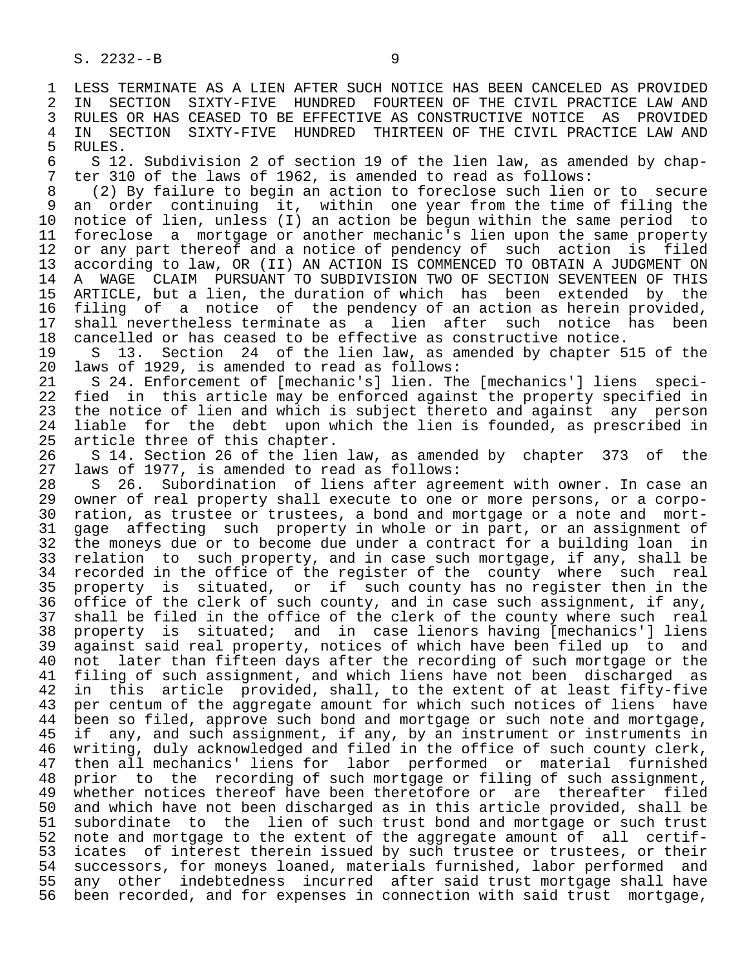5 RULES.<br>6 S 12 6 S 12. Subdivision 2 of section 19 of the lien law, as amended by chap-<br>7 ter 310 of the laws of 1962, is amended to read as follows: 7 ter 310 of the laws of 1962, is amended to read as follows:<br>8 (2) By failure to begin an action to foreclose such lien

 8 (2) By failure to begin an action to foreclose such lien or to secure 9 an order continuing it, within one year from the time of filing the<br>10 notice of lien, unless (I) an action be begun within the same period to 10 notice of lien, unless (I) an action be begun within the same period to<br>11 foreclose a mortgage or another mechanic's lien upon the same property 11 foreclose a mortgage or another mechanic's lien upon the same property<br>12 or any part thereof and a notice of pendency of such action is filed 12 or any part thereof and a notice of pendency of such action is filed 13 according to law, OR (II) AN ACTION IS COMMENCED TO OBTAIN A JUDGMENT ON 14 A WAGE CLAIM PURSUANT TO SUBDIVISION TWO OF SECTION SEVENTEEN OF THIS 15 ARTICLE, but a lien, the duration of which has been extended by the 16 filing of a notice of the pendency of an action as herein provided,<br>17 shall nevertheless terminate as a lien after such notice has been 17 shall nevertheless terminate as a lien after such notice has been<br>18 cancelled or has ceased to be effective as constructive notice.

18 cancelled or has ceased to be effective as constructive notice.<br>19 S 13. Section 24 of the lien law, as amended by chapter 5 19 S 13. Section 24 of the lien law, as amended by chapter 515 of the 20 laws of 1929, is amended to read as follows: 20 laws of 1929, is amended to read as follows:

 21 S 24. Enforcement of [mechanic's] lien. The [mechanics'] liens speci- 22 fied in this article may be enforced against the property specified in<br>23 the notice of lien and which is subject thereto and against any person 23 the notice of lien and which is subject thereto and against any person<br>24 liable for the debt upon which the lien is founded, as prescribed in 24 liable for the debt upon which the lien is founded, as prescribed in<br>25 article three of this chapter. article three of this chapter.

26 S 14. Section 26 of the lien law, as amended by chapter 373 of the 27 laws of 1977, is amended to read as follows: 27 laws of 1977, is amended to read as follows:<br>28 S 26. Subordination of liens after agre

28 S 26. Subordination of liens after agreement with owner. In case an<br>29 owner of real property shall execute to one or more persons, or a corpo-29 owner of real property shall execute to one or more persons, or a corpo-<br>30 ration, as trustee or trustees, a bond and mortgage or a note and mort-30 ration, as trustee or trustees, a bond and mortgage or a note and mort-<br>31 gage affecting such property in whole or in part, or an assignment of 31 gage affecting such property in whole or in part, or an assignment of<br>32 the moneys due or to become due under a contract for a building loan in 32 the moneys due or to become due under a contract for a building loan in<br>33 relation to such property, and in case such mortgage, if any, shall be 33 relation to such property, and in case such mortgage, if any, shall be<br>34 recorded in the office of the register of the county where such real 34 recorded in the office of the register of the county where such real<br>35 property is situated, or if such county has no register then in the 35 property is situated, or if such county has no register then in the<br>36 office of the clerk of such county, and in case such assignment, if any, office of the clerk of such county, and in case such assignment, if any, 37 shall be filed in the office of the clerk of the county where such real<br>38 property is situated; and in case lienors having [mechanics'] liens 38 property is situated; and in case lienors having [mechanics'] liens 39 against said real property, notices of which have been filed up to and<br>40 not later than fifteen days after the recording of such mortgage or the 40 not later than fifteen days after the recording of such mortgage or the 41 filing of such assignment, and which liens have not been discharged as<br>42 in this article provided, shall, to the extent of at least fifty-five 42 in this article provided, shall, to the extent of at least fifty-five<br>43 per centum of the aggregate amount for which such notices of liens have 43 per centum of the aggregate amount for which such notices of liens have<br>44 been so filed, approve such bond and mortgage or such note and mortgage, 44 been so filed, approve such bond and mortgage or such note and mortgage,<br>45 if any, and such assignment, if any, by an instrument or instruments in if any, and such assignment, if any, by an instrument or instruments in 46 writing, duly acknowledged and filed in the office of such county clerk,<br>47 then all mechanics' liens for labor performed or material furnished 47 then all mechanics' liens for labor performed or material furnished<br>48 prior to the recording of such mortgage or filing of such assignment, 48 prior to the recording of such mortgage or filing of such assignment,<br>49 whether notices thereof have been theretofore or are thereafter filed 49 whether notices thereof have been theretofore or are thereafter filed<br>50 and which have not been discharged as in this article provided, shall be 50 and which have not been discharged as in this article provided, shall be<br>51 subordinate to the lien of such trust bond and mortgage or such trust 51 subordinate to the lien of such trust bond and mortgage or such trust<br>52 note and mortgage to the extent of the aggregate amount of all certif-52 note and mortgage to the extent of the aggregate amount of all certif-<br>53 icates of interest therein issued by such trustee or trustees, or their 53 icates of interest therein issued by such trustee or trustees, or their<br>54 successors, for moneys loaned, materials furnished, labor performed and 54 successors, for moneys loaned, materials furnished, labor performed and<br>55 any other indebtedness incurred after said trust mortgage shall have 55 any other indebtedness incurred after said trust mortgage shall have<br>56 been recorded, and for expenses in connection with said trust mortgage, been recorded, and for expenses in connection with said trust mortgage,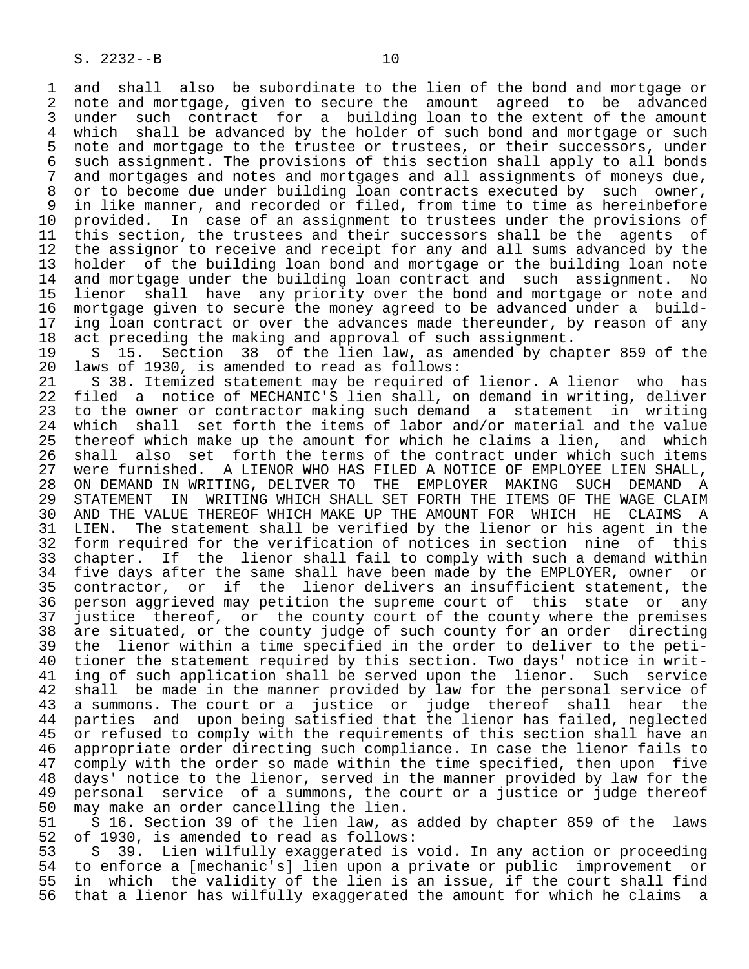1 and shall also be subordinate to the lien of the bond and mortgage or<br>2 note and mortgage, given to secure the amount agreed to be advanced 2 note and mortgage, given to secure the amount agreed to be advanced<br>3 under such contract for a building loan to the extent of the amount 3 under such contract for a building loan to the extent of the amount<br>4 which shall be advanced by the holder of such bond and mortgage or such 4 which shall be advanced by the holder of such bond and mortgage or such<br>5 note and mortgage to the trustee or trustees, or their successors, under 5 note and mortgage to the trustee or trustees, or their successors, under<br>6 such assignment. The provisions of this section shall apply to all bonds 6 such assignment. The provisions of this section shall apply to all bonds<br>7 and mortgages and notes and mortgages and all assignments of moneys due. 7 and mortgages and notes and mortgages and all assignments of moneys due,<br>8 or to become due under building loan contracts executed by such owner. 8 or to become due under building loan contracts executed by such owner,<br>9 in like manner, and recorded or filed, from time to time as hereinbefore 9 in like manner, and recorded or filed, from time to time as hereinbefore<br>10 provided. In case of an assignment to trustees under the provisions of 10 provided. In case of an assignment to trustees under the provisions of<br>11 this section, the trustees and their successors shall be the agents of 11 this section, the trustees and their successors shall be the agents of<br>12 the assignor to receive and receipt for any and all sums advanced by the 12 the assignor to receive and receipt for any and all sums advanced by the<br>13 holder of the building loan bond and mortgage or the building loan note 13 holder of the building loan bond and mortgage or the building loan note<br>14 and mortgage under the building loan contract and such assignment. No and mortgage under the building loan contract and such assignment. No 15 lienor shall have any priority over the bond and mortgage or note and 16 mortgage given to secure the money agreed to be advanced under a build-<br>17 ing loan contract or over the advances made thereunder, by reason of any 17 ing loan contract or over the advances made thereunder, by reason of any<br>18 act preceding the making and approval of such assignment.

18 act preceding the making and approval of such assignment.<br>19 S 15. Section 38 of the lien law, as amended by cha 19 S 15. Section 38 of the lien law, as amended by chapter 859 of the 20 laws of 1930, is amended to read as follows: 20 laws of 1930, is amended to read as follows:

21 S 38. Itemized statement may be required of lienor. A lienor who has<br>22 filed a notice of MECHANIC'S lien shall, on demand in writing, deliver 22 filed a notice of MECHANIC'S lien shall, on demand in writing, deliver<br>23 to the owner or contractor making such demand a statement in writing 23 to the owner or contractor making such demand a statement in writing<br>24 which shall set forth the items of labor and/or material and the value 24 which shall set forth the items of labor and/or material and the value<br>25 thereof which make up the amount for which he claims a lien, and which thereof which make up the amount for which he claims a lien, and which 26 shall also set forth the terms of the contract under which such items<br>27 were furnished. A LIENOR WHO HAS FILED A NOTICE OF EMPLOYEE LIEN SHALL, 27 were furnished. A LIENOR WHO HAS FILED A NOTICE OF EMPLOYEE LIEN SHALL,<br>28 ON DEMAND IN WRITING, DELIVER TO THE EMPLOYER MAKING SUCH DEMAND A 28 ON DEMAND IN WRITING, DELIVER TO THE EMPLOYER MAKING SUCH DEMAND A<br>29 STATEMENT IN WRITING WHICH SHALL SET FORTH THE ITEMS OF THE WAGE CLAIM 29 STATEMENT IN WRITING WHICH SHALL SET FORTH THE ITEMS OF THE WAGE CLAIM<br>20 AND THE VALUE THEREOF WHICH MAKE UP THE AMOUNT FOR WHICH HE CLAIMS A 30 AND THE VALUE THEREOF WHICH MAKE UP THE AMOUNT FOR WHICH HE CLAIMS A<br>31 LIEN. The statement shall be verified by the lienor or his agent in the 31 LIEN. The statement shall be verified by the lienor or his agent in the<br>32 form required for the verification of notices in section nine of this 32 form required for the verification of notices in section nine of this<br>33 chapter. If the lienor shall fail to comply with such a demand within 33 chapter. If the lienor shall fail to comply with such a demand within<br>34 five days after the same shall have been made by the EMPLOYER, owner or 34 five days after the same shall have been made by the EMPLOYER, owner or<br>35 contractor, or if the lienor delivers an insufficient statement, the 35 contractor, or if the lienor delivers an insufficient statement, the<br>36 person aggrieved may petition the supreme court of this state or any person aggrieved may petition the supreme court of this state or any 37 justice thereof, or the county court of the county where the premises 38 are situated, or the county judge of such county for an order directing<br>39 the lienor within a time specified in the order to deliver to the peti-39 the lienor within a time specified in the order to deliver to the peti-<br>40 tioner the statement required by this section. Two days' notice in writ-40 tioner the statement required by this section. Two days' notice in writ-<br>41 ing of such application shall be served upon the lienor. Such service 41 ing of such application shall be served upon the lienor. Such service<br>42 shall be made in the manner provided by law for the personal service of 42 shall be made in the manner provided by law for the personal service of<br>43 a summons. The court or a justice or judge thereof shall hear the 43 a summons. The court or a justice or judge thereof shall hear the<br>44 parties and upon being satisfied that the lienor has failed, neglected 44 parties and upon being satisfied that the lienor has failed, neglected<br>45 or refused to comply with the requirements of this section shall have an or refused to comply with the requirements of this section shall have an 46 appropriate order directing such compliance. In case the lienor fails to<br>47 comply with the order so made within the time specified, then upon five 47 comply with the order so made within the time specified, then upon five<br>48 days' notice to the lienor, served in the manner provided by law for the 48 days' notice to the lienor, served in the manner provided by law for the 49 personal service of a summons, the court or a justice or judge thereof<br>50 may make an order cancelling the lien.

50 may make an order cancelling the lien.<br>51 S 16. Section 39 of the lien law, as 51 S 16. Section 39 of the lien law, as added by chapter 859 of the laws<br>52 of 1930, is amended to read as follows: 52 of 1930, is amended to read as follows:<br>53 S 39. Lien wilfully exaggerated is

53 S 39. Lien wilfully exaggerated is void. In any action or proceeding<br>54 to enforce a [mechanic's] lien upon a private or public improvement or 54 to enforce a [mechanic's] lien upon a private or public improvement or<br>55 in which the validity of the lien is an issue, if the court shall find 55 in which the validity of the lien is an issue, if the court shall find<br>56 that a lienor has wilfully exaggerated the amount for which he claims a that a lienor has wilfully exaggerated the amount for which he claims a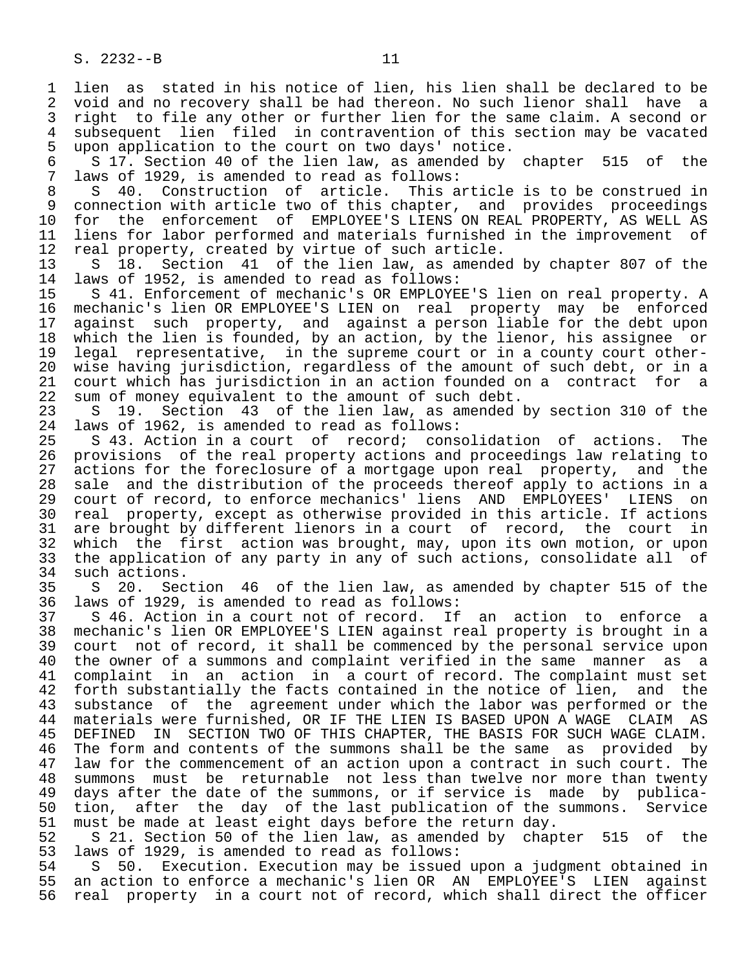1 lien as stated in his notice of lien, his lien shall be declared to be<br>2 void and no recovery shall be had thereon. No such lienor shall have a 2 void and no recovery shall be had thereon. No such lienor shall have a<br>3 right to file any other or further lien for the same claim. A second or 3 right to file any other or further lien for the same claim. A second or 4 subsequent lien filed in contravention of this section may be vacated<br>5 upon application to the court on two days' notice.

5 upon application to the court on two days' notice.<br>6 5 17. Section 40 of the lien law, as amended by 6 S 17. Section 40 of the lien law, as amended by chapter 515 of the<br>7 laws of 1929, is amended to read as follows: 7 laws of 1929, is amended to read as follows:<br>8 5 40. Construction of article. This a

8 S 40. Construction of article. This article is to be construed in<br>9 connection with article two of this chapter, and provides proceedings 9 connection with article two of this chapter, and provides proceedings<br>10 for the enforcement of EMPLOYEE'S LIENS ON REAL PROPERTY, AS WELL AS 10 for the enforcement of EMPLOYEE'S LIENS ON REAL PROPERTY, AS WELL AS<br>11 liens for labor performed and materials furnished in the improvement of 11 liens for labor performed and materials furnished in the improvement of<br>12 real property, created by virtue of such article. 12 real property, created by virtue of such article.<br>13 S 18. Section 41 of the lien law, as amended

13 S 18. Section 41 of the lien law, as amended by chapter 807 of the<br>14 laws of 1952, is amended to read as follows: laws of 1952, is amended to read as follows:

15 S 41. Enforcement of mechanic's OR EMPLOYEE'S lien on real property. A<br>16 mechanic's lien OR EMPLOYEE'S LIEN on real property may be enforced 16 mechanic's lien OR EMPLOYEE'S LIEN on real property may be enforced<br>17 against such property, and against a person liable for the debt upon 17 against such property, and against a person liable for the debt upon<br>18 which the lien is founded, by an action, by the lienor, his assignee or 18 which the lien is founded, by an action, by the lienor, his assignee or<br>19 legal representative, in the supreme court or in a county court other-19 legal representative, in the supreme court or in a county court other-<br>20 wise having jurisdiction, regardless of the amount of such debt, or in a 20 wise having jurisdiction, regardless of the amount of such debt, or in a<br>21 court which has jurisdiction in an action founded on a contract for a 21 court which has jurisdiction in an action founded on a contract for a<br>22 sum of money equivalent to the amount of such debt. 22 sum of money equivalent to the amount of such debt.<br>23 S 19. Section 43 of the lien law, as amended

 23 S 19. Section 43 of the lien law, as amended by section 310 of the 24 laws of 1962, is amended to read as follows:<br>25 S 43, Action in a court of record; cons

S 43. Action in a court of record; consolidation of actions. The 26 provisions of the real property actions and proceedings law relating to<br>27 actions for the foreclosure of a mortgage upon real property, and the 27 actions for the foreclosure of a mortgage upon real property, and the<br>28 sale and the distribution of the proceeds thereof apply to actions in a 28 sale and the distribution of the proceeds thereof apply to actions in a<br>29 court of record, to enforce mechanics' liens AND EMPLOYEES' LIENS on 29 court of record, to enforce mechanics' liens AND EMPLOYEES' LIENS on<br>30 real property, except as otherwise provided in this article. If actions 30 real property, except as otherwise provided in this article. If actions<br>31 are brought by different lienors in a court of record, the court in 31 are brought by different lienors in a court of record, the court in<br>32 which the first action was brought, may, upon its own motion, or upon 32 which the first action was brought, may, upon its own motion, or upon<br>33 the application of any party in any of such actions, consolidate all of 33 the application of any party in any of such actions, consolidate all of 34 such actions. 34 such actions.<br>35 S 20. Sec

35 S 20. Section 46 of the lien law, as amended by chapter 515 of the 36 laws of 1929, is amended to read as follows: laws of 1929, is amended to read as follows:

 37 S 46. Action in a court not of record. If an action to enforce a 38 mechanic's lien OR EMPLOYEE'S LIEN against real property is brought in a 39 court not of record, it shall be commenced by the personal service upon<br>40 the owner of a summons and complaint verified in the same manner as a 40 the owner of a summons and complaint verified in the same manner as a<br>41 complaint in an action in a court of record. The complaint must set 41 complaint in an action in a court of record. The complaint must set<br>42 forth substantially the facts contained in the notice of lien, and the 42 forth substantially the facts contained in the notice of lien, and the<br>43 substance of the agreement under which the labor was performed or the 43 substance of the agreement under which the labor was performed or the<br>44 materials were furnished, OR IF THE LIEN IS BASED UPON A WAGE CLAIM AS 44 materials were furnished, OR IF THE LIEN IS BASED UPON A WAGE CLAIM AS<br>45 DEFINED IN SECTION TWO OF THIS CHAPTER, THE BASIS FOR SUCH WAGE CLAIM. DEFINED IN SECTION TWO OF THIS CHAPTER, THE BASIS FOR SUCH WAGE CLAIM. 46 The form and contents of the summons shall be the same as provided by<br>47 law for the commencement of an action upon a contract in such court. The law for the commencement of an action upon a contract in such court. The 48 summons must be returnable not less than twelve nor more than twenty<br>49 days after the date of the summons, or if service is made by publica-49 days after the date of the summons, or if service is made by publica-<br>50 tion, after the day of the last publication of the summons. Service 50 tion, after the day of the last publication of the summons. Service<br>51 must be made at least eight days before the return day. 51 must be made at least eight days before the return day.<br>52 S 21. Section 50 of the lien law, as amended by chap

52 S 21. Section 50 of the lien law, as amended by chapter 515 of the 53 laws of 1929, is amended to read as follows: 53 laws of 1929, is amended to read as follows:

54 S 50. Execution. Execution may be issued upon a judgment obtained in<br>55 an action to enforce a mechanic's lien OR AN EMPLOYEE'S LIEN against 55 an action to enforce a mechanic's lien OR AN EMPLOYEE'S LIEN against<br>56 real property in a court not of record, which shall direct the officer real property in a court not of record, which shall direct the officer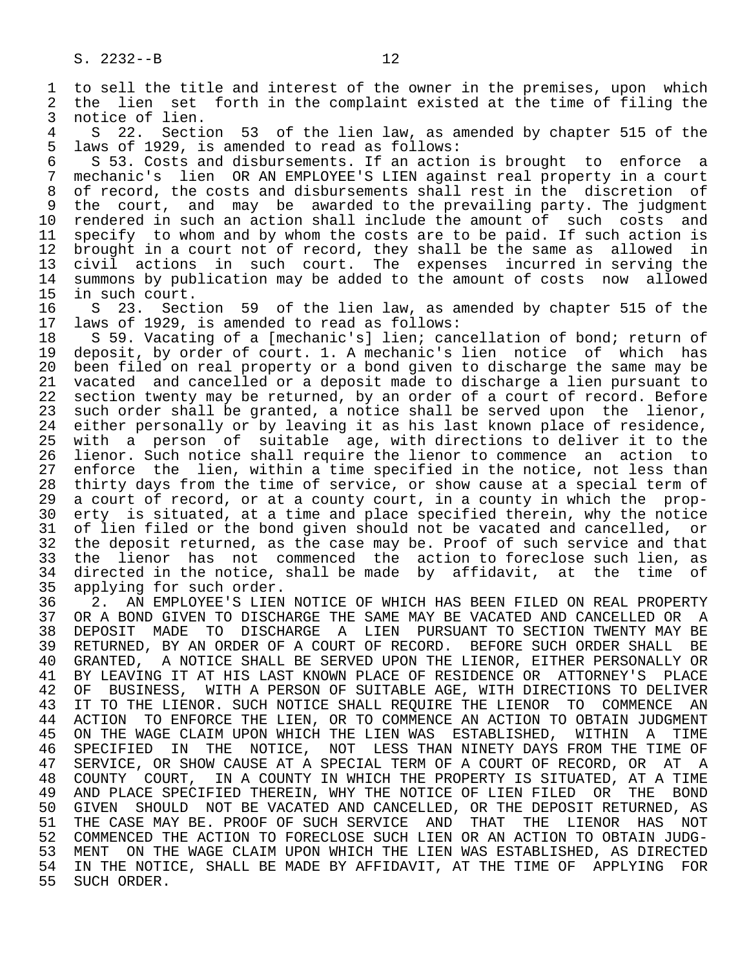1 to sell the title and interest of the owner in the premises, upon which<br>2 the lien set forth in the complaint existed at the time of filing the 2 the lien set forth in the complaint existed at the time of filing the<br>3 notice of lien. 3 notice of lien.<br>4 S 22. Sectiv

4 S 22. Section 53 of the lien law, as amended by chapter 515 of the<br>5 laws of 1929, is amended to read as follows: 5 laws of 1929, is amended to read as follows:<br>6 5 53. Costs and disbursements. If an action

6 S 53. Costs and disbursements. If an action is brought to enforce a<br>7 mechanic's lien OR AN EMPLOYEE'S LIEN against real property in a court 7 mechanic's lien OR AN EMPLOYEE'S LIEN against real property in a court 8 of record, the costs and disbursements shall rest in the discretion of<br>8 the court, and may be awarded to the prevailing party. The judgment 9 the court, and may be awarded to the prevailing party. The judgment<br>10 rendered in such an action shall include the amount of such costs and 10 rendered in such an action shall include the amount of such costs and<br>11 specify to whom and by whom the costs are to be paid. If such action is 11 specify to whom and by whom the costs are to be paid. If such action is<br>12 brought in a court not of record, they shall be the same as allowed in 12 brought in a court not of record, they shall be the same as allowed in<br>13 civil actions in such court. The expenses incurred in serving the 13 civil actions in such court. The expenses incurred in serving the<br>14 summons by publication may be added to the amount of costs now allowed summons by publication may be added to the amount of costs now allowed

15 in such court.<br>16 S 23. Sect 16 S 23. Section 59 of the lien law, as amended by chapter 515 of the 17 laws of 1929, is amended to read as follows: 17 laws of 1929, is amended to read as follows:<br>18 S 59. Vacating of a [mechanic's] lien; can

18 S 59. Vacating of a [mechanic's] lien; cancellation of bond; return of<br>19 deposit, by order of court, 1, A mechanic's lien notice of which has 19 deposit, by order of court. 1. A mechanic's lien notice of which has 20 been filed on real property or a bond given to discharge the same may be<br>21 vacated and cancelled or a deposit made to discharge a lien pursuant to 21 vacated and cancelled or a deposit made to discharge a lien pursuant to<br>22 section twenty may be returned, by an order of a court of record. Before 22 section twenty may be returned, by an order of a court of record. Before<br>23 such order shall be granted, a notice shall be served upon the lienor, 23 such order shall be granted, a notice shall be served upon the lienor,<br>24 either personally or by leaving it as his last known place of residence. 24 either personally or by leaving it as his last known place of residence,<br>25 with a person of suitable age, with directions to deliver it to the with a person of suitable age, with directions to deliver it to the 26 lienor. Such notice shall require the lienor to commence an action to<br>27 enforce the lien, within a time specified in the notice, not less than 27 enforce the lien, within a time specified in the notice, not less than<br>28 thirty days from the time of service, or show cause at a special term of 28 thirty days from the time of service, or show cause at a special term of<br>29 a court of record, or at a county court, in a county in which the prop-29 a court of record, or at a county court, in a county in which the prop-<br>20 erty is situated, at a time and place specified therein, why the notice 30 erty is situated, at a time and place specified therein, why the notice<br>31 of lien filed or the bond given should not be vacated and cancelled, or 31 of lien filed or the bond given should not be vacated and cancelled, or<br>32 the deposit returned, as the case may be. Proof of such service and that 32 the deposit returned, as the case may be. Proof of such service and that<br>33 the lienor has not commenced the action to foreclose such lien, as 33 the lienor has not commenced the action to foreclose such lien, as<br>34 directed in the notice, shall be made by affidavit, at the time of 34 directed in the notice, shall be made by affidavit, at the time of 35 applying for such order. 35 applying for such order.

36 2. AN EMPLOYEE'S LIEN NOTICE OF WHICH HAS BEEN FILED ON REAL PROPERTY<br>37 OR A BOND GIVEN TO DISCHARGE THE SAME MAY BE VACATED AND CANCELLED OR A 37 OR A BOND GIVEN TO DISCHARGE THE SAME MAY BE VACATED AND CANCELLED OR A 38 DEPOSIT MADE TO DISCHARGE A LIEN PURSUANT TO SECTION TWENTY MAY BE 39 RETURNED, BY AN ORDER OF A COURT OF RECORD. BEFORE SUCH ORDER SHALL BE 39 RETURNED, BY AN ORDER OF A COURT OF RECORD. BEFORE SUCH ORDER SHALL BE<br>40 GRANTED, A NOTICE SHALL BE SERVED UPON THE LIENOR, EITHER PERSONALLY OR 40 GRANTED, A NOTICE SHALL BE SERVED UPON THE LIENOR, EITHER PERSONALLY OR<br>41 BY LEAVING IT AT HIS LAST KNOWN PLACE OF RESIDENCE OR ATTORNEY'S PLACE 41 BY LEAVING IT AT HIS LAST KNOWN PLACE OF RESIDENCE OR ATTORNEY'S PLACE<br>42 OF BUSINESS, WITH A PERSON OF SUITABLE AGE, WITH DIRECTIONS TO DELIVER 42 OF BUSINESS, WITH A PERSON OF SUITABLE AGE, WITH DIRECTIONS TO DELIVER<br>43 IT TO THE LIENOR, SUCH NOTICE SHALL REOUIRE THE LIENOR TO COMMENCE AN 43 IT TO THE LIENOR. SUCH NOTICE SHALL REQUIRE THE LIENOR TO COMMENCE AN 44 ACTION TO ENFORCE THE LIEN. OR TO COMMENCE AN ACTION TO OBTAIN JUDGMENT 44 ACTION TO ENFORCE THE LIEN, OR TO COMMENCE AN ACTION TO OBTAIN JUDGMENT<br>45 ON THE WAGE CLAIM UPON WHICH THE LIEN WAS ESTABLISHED, WITHIN A TIME 45 ON THE WAGE CLAIM UPON WHICH THE LIEN WAS ESTABLISHED, WITHIN A TIME 46 SPECIFIED IN THE NOTICE, NOT LESS THAN NINETY DAYS FROM THE TIME OF 47 SERVICE, OR SHOW CAUSE AT A SPECIAL TERM OF A COURT OF RECORD, OR AT A SERVICE, OR SHOW CAUSE AT A SPECIAL TERM OF A COURT OF RECORD, OR AT A 48 COUNTY COURT, IN A COUNTY IN WHICH THE PROPERTY IS SITUATED, AT A TIME<br>49 AND PLACE SPECIFIED THEREIN, WHY THE NOTICE OF LIEN FILED OR THE BOND 49 AND PLACE SPECIFIED THEREIN, WHY THE NOTICE OF LIEN FILED OR THE BOND<br>50 GIVEN SHOULD NOT BE VACATED AND CANCELLED, OR THE DEPOSIT RETURNED, AS 50 GIVEN SHOULD NOT BE VACATED AND CANCELLED, OR THE DEPOSIT RETURNED, AS<br>51 THE CASE MAY BE. PROOF OF SUCH SERVICE AND THAT THE LIENOR HAS NOT 51 THE CASE MAY BE. PROOF OF SUCH SERVICE AND THAT THE LIENOR HAS NOT<br>52 COMMENCED THE ACTION TO FORECLOSE SUCH LIEN OR AN ACTION TO OBTAIN JUDG-52 COMMENCED THE ACTION TO FORECLOSE SUCH LIEN OR AN ACTION TO OBTAIN JUDG-<br>53 MENT ON THE WAGE CLAIM UPON WHICH THE LIEN WAS ESTABLISHED, AS DIRECTED 53 MENT ON THE WAGE CLAIM UPON WHICH THE LIEN WAS ESTABLISHED, AS DIRECTED<br>54 IN THE NOTICE, SHALL BE MADE BY AFFIDAVIT, AT THE TIME OF APPLYING FOR 54 IN THE NOTICE, SHALL BE MADE BY AFFIDAVIT, AT THE TIME OF APPLYING FOR<br>55 SUCH ORDER. SUCH ORDER.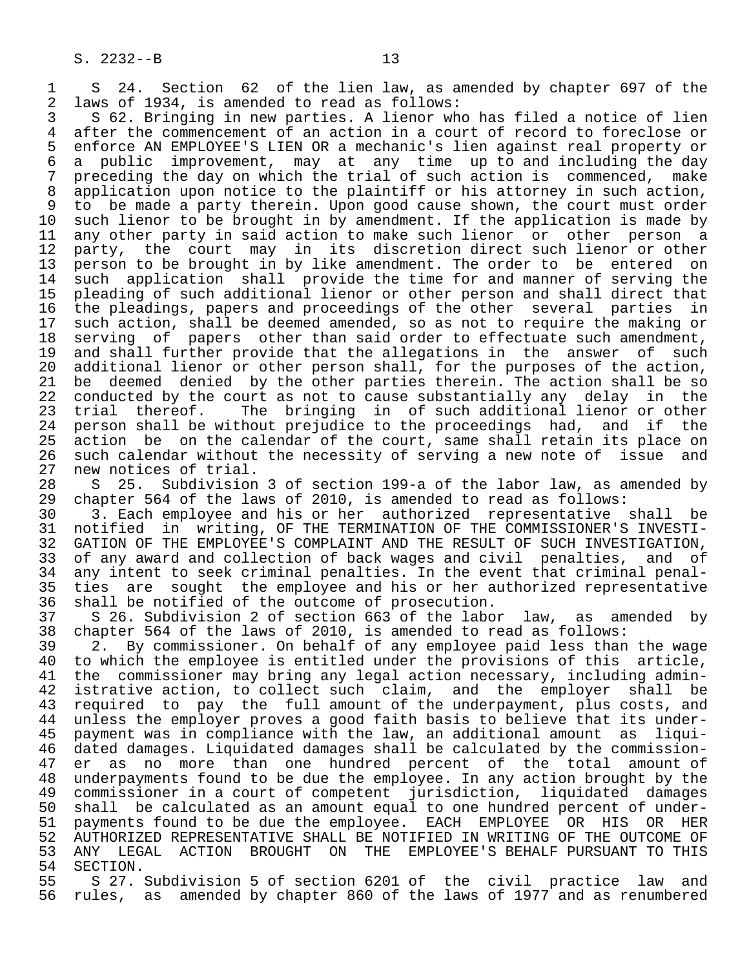1 S 24. Section 62 of the lien law, as amended by chapter 697 of the<br>2 laws of 1934, is amended to read as follows: 2 laws of 1934, is amended to read as follows:<br>3 S 62. Bringing in new parties. A lienor wh

3 S 62. Bringing in new parties. A lienor who has filed a notice of lien<br>4 after the commencement of an action in a court of record to foreclose or 4 after the commencement of an action in a court of record to foreclose or<br>5 enforce AN EMPLOYEE'S LIEN OR a mechanic's lien against real property or 5 enforce AN EMPLOYEE'S LIEN OR a mechanic's lien against real property or<br>6 a public improvement, may at any time up to and including the day 6 a public improvement, may at any time up to and including the day<br>7 preceding the day on which the trial of such action is commenced, make 7 preceding the day on which the trial of such action is commenced, make<br>8 application upon notice to the plaintiff or his attorney in such action. 8 application upon notice to the plaintiff or his attorney in such action,<br>8 to be made a party therein. Upon good cause shown, the court must order 9 to be made a party therein. Upon good cause shown, the court must order<br>10 such lienor to be brought in by amendment. If the application is made by 10 such lienor to be brought in by amendment. If the application is made by<br>11 any other party in said action to make such lienor or other person a 11 any other party in said action to make such lienor or other person a<br>12 party, the court may in its discretion direct such lienor or other 12 party, the court may in its discretion-direct-such-lienor or other<br>13 person to be brought in by like amendment. The order to be entered on 13 person to be brought in by like amendment. The order to be entered on<br>14 such application shall provide the time for and manner of serving the such application shall provide the time for and manner of serving the 15 pleading of such additional lienor or other person and shall direct that<br>16 the pleadings, papers and proceedings of the other several parties in 16 the pleadings, papers and proceedings of the other several parties in<br>17 such action, shall be deemed amended, so as not to require the making or 17 such action, shall be deemed amended, so as not to require the making or<br>18 serving of papers other than said order to effectuate such amendment, 18 serving of papers other than said order to effectuate such amendment,<br>19 and shall further provide that the allegations in the answer of such 19 and shall further provide that the allegations in the answer of such<br>20 additional lienor or other person shall, for the purposes of the action, 20 additional lienor or other person shall, for the purposes of the action,<br>21 be deemed denied by the other parties therein. The action shall be so 21 be deemed denied by the other parties therein. The action shall be so<br>22 conducted by the court as not to cause substantially any delay in the 22 conducted by the court as not to cause substantially any delay in the<br>23 trial thereof. The bringing in of such additional lienor or other 23 trial thereof. The bringing in of such additional lienor or other<br>24 person shall be without prejudice to the proceedings had, and if the 24 person shall be without prejudice to the proceedings had, and if the<br>25 action be on the calendar of the court, same shall retain its place on action be on the calendar of the court, same shall retain its place on 26 such calendar without the necessity of serving a new note of issue and<br>27 new notices of trial.

27 new notices of trial.<br>28 S 25. Subdivision 28 S 25. Subdivision 3 of section 199-a of the labor law, as amended by<br>29 chapter 564 of the laws of 2010, is amended to read as follows: 29 chapter 564 of the laws of 2010, is amended to read as follows:<br>30 3. Each employee and his or her authorized representative

30 3. Each employee and his or her authorized representative shall be<br>31 notified in writing. OF THE TERMINATION OF THE COMMISSIONER'S INVESTI-31 notified in writing, OF THE TERMINATION OF THE COMMISSIONER'S INVESTI-<br>32 GATION OF THE EMPLOYEE'S COMPLAINT AND THE RESULT OF SUCH INVESTIGATION, 32 GATION OF THE EMPLOYEE'S COMPLAINT AND THE RESULT OF SUCH INVESTIGATION,<br>33 of any award and collection of back wages and civil penalties, and of 33 of any award and collection of back wages and civil penalties, and of<br>34 any intent to seek criminal penalties. In the event that criminal penal-34 any intent to seek criminal penalties. In the event that criminal penal-<br>35 ties, are sought, the employee and his or her authorized representative 35 ties are sought the employee and his or her authorized representative<br>36 shall be notified of the outcome of prosecution. 36 shall be notified of the outcome of prosecution.

 37 S 26. Subdivision 2 of section 663 of the labor law, as amended by 38 chapter 564 of the laws of 2010, is amended to read as follows:

 39 2. By commissioner. On behalf of any employee paid less than the wage 40 to which the employee is entitled under the provisions of this article,<br>41 the commissioner may bring any legal action necessary, including admin-41 the commissioner may bring any legal action necessary, including admin-<br>42 istrative action, to collect such claim, and the employer shall be 42 istrative action, to collect such claim, and the employer shall be<br>43 required to pay the full amount of the underpayment, plus costs, and 43 required to pay the full amount of the underpayment, plus costs, and<br>44 unless the emplover proves a good faith basis to believe that its under-44 unless the employer proves a good faith basis to believe that its under-<br>45 payment was in compliance with the law, an additional amount as liqui- 45 payment was in compliance with the law, an additional amount as liqui- 46 dated damages. Liquidated damages shall be calculated by the commission- 47 er as no more than one hundred percent of the total amount of 48 underpayments found to be due the employee. In any action brought by the 48 underpayments found to be due the employee. In any action brought by the 49 commissioner in a court of competent jurisdiction, liquidated damages<br>50 shall be calculated as an amount equal to one hundred percent of under-50 shall be calculated as an amount equal to one hundred percent of under-<br>51 payments found to be due the employee. EACH EMPLOYEE OR HIS OR HER 51 payments found to be due the employee. EACH EMPLOYEE OR HIS OR HER<br>52 AUTHORIZED REPRESENTATIVE SHALL BE NOTIFIED IN WRITING OF THE OUTCOME OF 52 AUTHORIZED REPRESENTATIVE SHALL BE NOTIFIED IN WRITING OF THE OUTCOME OF<br>53 ANY LEGAL ACTION BROUGHT ON THE EMPLOYEE'S BEHALF PURSUANT TO THIS 53 ANY LEGAL ACTION BROUGHT ON THE EMPLOYEE'S BEHALF PURSUANT TO THIS<br>54 SECTION. 54 SECTION.<br>55 S 27.

55 S 27. Subdivision 5 of section 6201 of the civil practice law and<br>56 rules, as amended by chapter 860 of the laws of 1977 and as renumbered 56 rules, as amended by chapter 860 of the laws of 1977 and as renumbered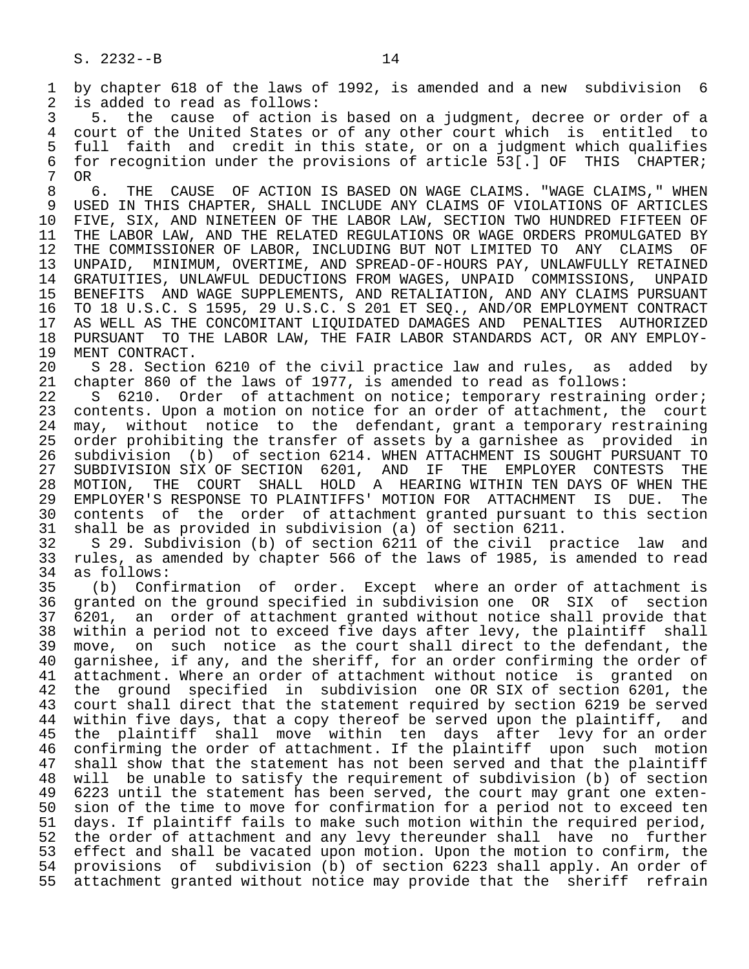1 by chapter 618 of the laws of 1992, is amended and a new subdivision 6<br>2 is added to read as follows: 2 is added to read as follows:<br>3 5. the cause of action

 3 5. the cause of action is based on a judgment, decree or order of a 4 court of the United States or of any other court which is entitled to<br>5 full faith and credit in this state, or on a judgment which qualifies 5 full faith and credit in this state, or on a judgment which qualifies 6 for recognition under the provisions of article 53[.] OF THIS CHAPTER;  $\begin{matrix} 7 & 0R \\ 8 & 6 \end{matrix}$ 

 8 6. THE CAUSE OF ACTION IS BASED ON WAGE CLAIMS. "WAGE CLAIMS," WHEN 9 USED IN THIS CHAPTER, SHALL INCLUDE ANY CLAIMS OF VIOLATIONS OF ARTICLES<br>10 FIVE, SIX, AND NINETEEN OF THE LABOR LAW, SECTION TWO HUNDRED FIFTEEN OF 10 FIVE, SIX, AND NINETEEN OF THE LABOR LAW, SECTION TWO HUNDRED FIFTEEN OF<br>11 THE LABOR LAW, AND THE RELATED REGULATIONS OR WAGE ORDERS PROMULGATED BY 11 THE LABOR LAW, AND THE RELATED REGULATIONS OR WAGE ORDERS PROMULGATED BY<br>12 THE COMMISSIONER OF LABOR, INCLUDING BUT NOT LIMITED TO ANY CLAIMS OF 12 THE COMMISSIONER OF LABOR, INCLUDING BUT NOT LIMITED TO ANY 13 UNPAID, MINIMUM, OVERTIME, AND SPREAD-OF-HOURS PAY, UNLAWFUL 13 UNPAID, MINIMUM, OVERTIME, AND SPREAD-OF-HOURS PAY, UNLAWFULLY RETAINED<br>14 GRATUITIES, UNLAWFUL DEDUCTIONS FROM WAGES, UNPAID COMMISSIONS, UNPAID 14 GRATUITIES, UNLAWFUL DEDUCTIONS FROM WAGES, UNPAID COMMISSIONS, UNPAID 15 BENEFITS AND WAGE SUPPLEMENTS, AND RETALIATION, AND ANY CLAIMS PURSUANT<br>16 TO 18 U.S.C. S 1595, 29 U.S.C. S 201 ET SEO., AND/OR EMPLOYMENT CONTRACT 16 TO 18 U.S.C. S 1595, 29 U.S.C. S 201 ET SEQ., AND/OR EMPLOYMENT CONTRACT 17 AS WELL AS THE CONCOMITANT LIQUIDATED DAMAGES AND PENALTIES AUTHORIZED<br>18 PURSUANT TO THE LABOR LAW, THE FAIR LABOR STANDARDS ACT, OR ANY EMPLOY-18 PURSUANT TO THE LABOR LAW, THE FAIR LABOR STANDARDS ACT, OR ANY EMPLOY-<br>19 MENT CONTRACT.

19 MENT CONTRACT.<br>20 S 28. Sectio 20 S 28. Section 6210 of the civil practice law and rules, as added by<br>21 chapter 860 of the laws of 1977, is amended to read as follows: 21 chapter 860 of the laws of 1977, is amended to read as follows:<br>22 S 6210. Order of attachment on notice; temporary restraini

22 S 6210. Order of attachment on notice; temporary restraining order;<br>23 contents. Upon a motion on notice for an order of attachment, the court 23 contents. Upon a motion on notice for an order of attachment, the court 24 may, without notice to the defendant, grant a temporary restraining<br>25 order prohibiting the transfer of assets by a garnishee as provided in order prohibiting the transfer of assets by a garnishee as provided in 26 subdivision (b) of section 6214. WHEN ATTACHMENT IS SOUGHT PURSUANT TO 27 SUBDIVISION SIX OF SECTION 6201, AND IF THE EMPLOYER CONTESTS THE 28 MOTION, THE COURT SHALL HOLD A HEARING WITHIN TEN DAYS OF WHEN THE 28 MOTION, THE COURT SHALL HOLD A HEARING—WITHIN TEN DAYS OF WHEN THE THE COURT SHALL HOLD A HEARING WITHIN TEN DAYS OF WHEN THE 29 EMPLOYER'S RESPONSE TO PLAINTIFFS' MOTION FOR ATTACHMENT IS DUE. The<br>30 contents of the order of attachment granted pursuant to this section 30 contents of the order of attachment granted pursuant to this section<br>31 shall be as provided in subdivision (a) of section 6211. 31 shall be as provided in subdivision (a) of section 6211.

32 S 29. Subdivision (b) of section 6211 of the civil practice law and<br>33 rules, as amended by chapter 566 of the laws of 1985, is amended to read 33 rules, as amended by chapter 566 of the laws of 1985, is amended to read 34 as follows:<br>35 (b) Conf

 35 (b) Confirmation of order. Except where an order of attachment is granted on the ground specified in subdivision one OR SIX of section 37 6201, an order of attachment granted without notice shall provide that 38 within a period not to exceed five days after levy, the plaintiff shall<br>39 move, on such notice as the court shall direct to the defendant, the 39 move, on such notice as the court shall direct to the defendant, the<br>40 garnishee, if any, and the sheriff, for an order confirming the order of 40 garnishee, if any, and the sheriff, for an order confirming the order of<br>41 attachment. Where an order of attachment without notice is granted on 41 attachment. Where an order of attachment without notice is granted on<br>42 the ground specified in subdivision one OR SIX of section 6201, the 42 the ground specified in subdivision one OR SIX of section 6201, the<br>43 court shall direct that the statement required by section 6219 be served 43 court shall direct that the statement required by section 6219 be served<br>44 within five days, that a copy thereof be served upon the plaintiff, and 44 within five days, that a copy thereof be served upon the plaintiff, and<br>45 the plaintiff shall move within ten days after levy for an order the plaintiff shall move within ten days after levy for an order 46 confirming the order of attachment. If the plaintiff upon such motion<br>47 shall show that the statement has not been served and that the plaintiff shall show that the statement has not been served and that the plaintiff 48 will be unable to satisfy the requirement of subdivision (b) of section<br>49 6223 until the statement has been served, the court may grant one exten-6223 until the statement has been served, the court may grant one exten- 50 sion of the time to move for confirmation for a period not to exceed ten 51 days. If plaintiff fails to make such motion within the required period, 52 the order of attachment and any levy thereunder shall have no further 53 effect and shall be vacated upon motion. Upon the motion to confirm, the 54 provisions of subdivision (b) of section 6223 shall apply. An order of 55 attachment granted without notice may provide that the sheriff refrain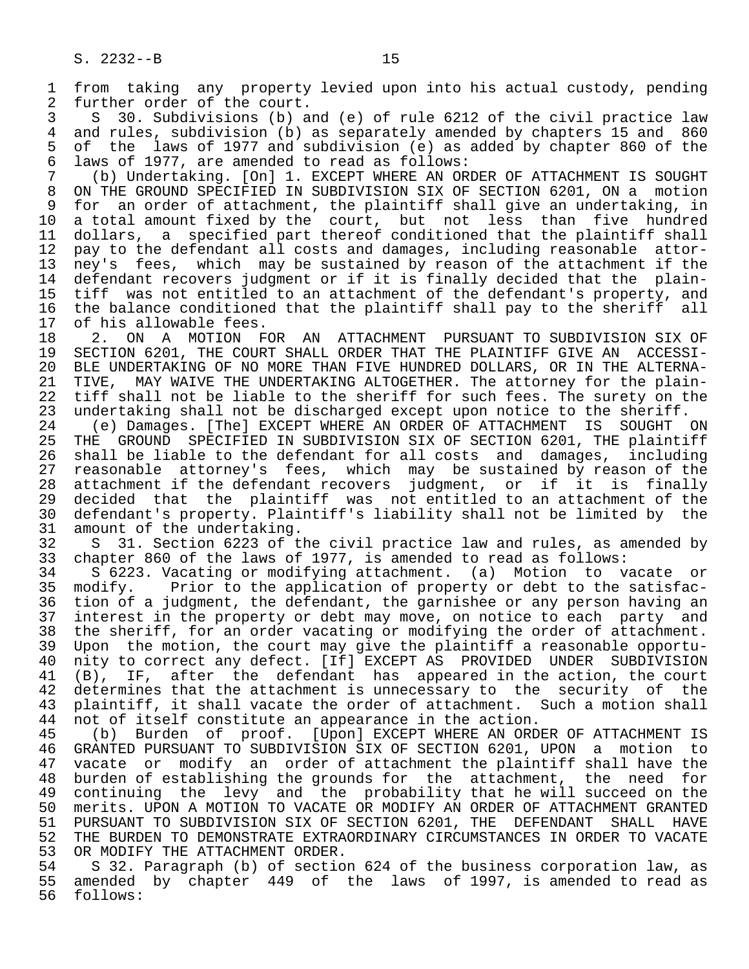1 from taking any property levied upon into his actual custody, pending 2 further order of the court.<br>3 S 30. Subdivisions (b) a

 3 S 30. Subdivisions (b) and (e) of rule 6212 of the civil practice law 4 and rules, subdivision (b) as separately amended by chapters 15 and 860<br>5 of the laws of 1977 and subdivision (e) as added by chapter 860 of the 5 of the laws of 1977 and subdivision (e) as added by chapter 860 of the<br>6 laws of 1977, are amended to read as follows: 6 laws of 1977, are amended to read as follows:

 7 (b) Undertaking. [On] 1. EXCEPT WHERE AN ORDER OF ATTACHMENT IS SOUGHT ON THE GROUND SPECIFIED IN SUBDIVISION SIX OF SECTION 6201, ON a motion 9 for an order of attachment, the plaintiff shall give an undertaking, in<br>10 a total amount fixed by the court, but not less than five hundred 10 a total amount fixed by the court, but not less than five hundred<br>11 dollars, a specified part thereof conditioned that the plaintiff shall 11 dollars, a specified part thereof conditioned that the plaintiff shall<br>12 pay to the defendant all costs and damages, including reasonable attorpay to the defendant all costs and damages, including reasonable attor-13 ney's fees, which may be sustained by reason of the attachment if the<br>14 defendant recovers judgment or if it is finally decided that the plaindefendant recovers judgment or if it is finally decided that the plain-15 tiff was not entitled to an attachment of the defendant's property, and<br>16 the balance conditioned that the plaintiff shall pay to the sheriff all 16 the balance conditioned that the plaintiff shall pay to the sheriff all<br>17 of his allowable fees. 17 of his allowable fees.<br>18 2. ON A MOTION F

18 2. ON A MOTION FOR AN ATTACHMENT PURSUANT TO SUBDIVISION SIX OF 19 SECTION 6201. THE COURT SHALL ORDER THAT THE PLAINTIFF GIVE AN ACCESSI-19 SECTION 6201, THE COURT SHALL ORDER THAT THE PLAINTIFF GIVE AN ACCESSI-<br>20 BLE UNDERTAKING OF NO MORE THAN FIVE HUNDRED DOLLARS, OR IN THE ALTERNA-20 BLE UNDERTAKING OF NO MORE THAN FIVE HUNDRED DOLLARS, OR IN THE ALTERNA-<br>21 TIVE, MAY WAIVE THE UNDERTAKING ALTOGETHER. The attorney for the plain-21 TIVE, MAY WAIVE THE UNDERTAKING ALTOGETHER. The attorney for the plain-<br>22 tiff shall not be liable to the sheriff for such fees. The surety on the 22 tiff shall not be liable to the sheriff for such fees. The surety on the<br>23 undertaking shall not be discharged except upon notice to the sheriff. 23 undertaking shall not be discharged except upon notice to the sheriff.<br>24 (e) Damages. [The] EXCEPT WHERE AN ORDER OF ATTACHMENT IS SOUGHT

24 (e) Damages. [The] EXCEPT WHERE AN ORDER OF ATTACHMENT IS SOUGHT ON<br>25 THE GROUND SPECIFIED IN SUBDIVISION SIX OF SECTION 6201. THE plaintiff THE GROUND SPECIFIED IN SUBDIVISION SIX OF SECTION 6201, THE plaintiff 26 shall be liable to the defendant for all costs and damages, including<br>27 reasonable attorney's fees, which may be sustained by reason of the 27 reasonable attorney's fees, which may be sustained by reason of the<br>28 attachment if the defendant recovers judgment, or if it is finally 28 attachment if the defendant recovers judgment, or if it is finally<br>29 decided that the plaintiff was not entitled to an attachment of the 29 decided that the plaintiff was not entitled to an attachment of the<br>30 defendant's property. Plaintiff's liability shall not be limited by the 30 defendant's property. Plaintiff's liability shall not be limited by the<br>31 amount of the undertaking. 31 amount of the undertaking.<br>32 S 31. Section 6223 of the

32 S 31. Section 6223 of the civil practice law and rules, as amended by<br>33 chapter 860 of the laws of 1977, is amended to read as follows: 33 chapter 860 of the laws of 1977, is amended to read as follows:<br>34 S 6223. Vacating or modifying attachment. (a) Motion to v

34 S 6223. Vacating or modifying attachment. (a) Motion to vacate or<br>35 modify. Prior to the application of property or debt to the satisfac-35 modify. Prior to the application of property or debt to the satisfac-<br>36 tion of a judgment, the defendant, the garnishee or any person having an tion of a judgment, the defendant, the garnishee or any person having an 37 interest in the property or debt may move, on notice to each party and<br>38 the sheriff, for an order vacating or modifying the order of attachment. 38 the sheriff, for an order vacating or modifying the order of attachment.<br>39 Upon the motion, the court may give the plaintiff a reasonable opportu-39 Upon the motion, the court may give the plaintiff a reasonable opportu-<br>40 nity to correct any defect. [If] EXCEPT AS PROVIDED UNDER SUBDIVISION 40 nity to correct any defect. [If] EXCEPT AS PROVIDED UNDER SUBDIVISION<br>41 (B). IF, after the defendant has appeared in the action, the court 41 (B), IF, after the defendant has appeared in the action, the court<br>42 determines that the attachment is unnecessary to the security of the 42 determines that the attachment is unnecessary to the security of the<br>43 plaintiff, it shall vacate the order of attachment. Such a motion shall 43 plaintiff, it shall vacate the order of attachment. Such a motion shall<br>44 not of itself constitute an appearance in the action.

44 not of itself constitute an appearance in the action.<br>45 (b) Burden of proof. [Upon] EXCEPT WHERE AN ORD (b) Burden of proof. [Upon] EXCEPT WHERE AN ORDER OF ATTACHMENT IS 46 GRANTED PURSUANT TO SUBDIVISION SIX OF SECTION 6201, UPON a motion to<br>47 vacate or modify an order of attachment the plaintiff shall have the vacate or modify an order of attachment the plaintiff shall have the 48 burden of establishing the grounds for the attachment, the need for<br>49 continuing the levy and the probability that he will succeed on the 49 continuing the levy and the probability that he will succeed on the<br>50 merits, UPON A MOTION TO VACATE OR MODIFY AN ORDER OF ATTACHMENT GRANTED 50 merits. UPON A MOTION TO VACATE OR MODIFY AN ORDER OF ATTACHMENT GRANTED<br>51 PURSUANT TO SUBDIVISION SIX OF SECTION 6201, THE DEFENDANT SHALL HAVE 51 PURSUANT TO SUBDIVISION SIX OF SECTION 6201, THE DEFENDANT SHALL HAVE<br>52 THE BURDEN TO DEMONSTRATE EXTRAORDINARY CIRCUMSTANCES IN ORDER TO VACATE 52 THE BURDEN TO DEMONSTRATE EXTRAORDINARY CIRCUMSTANCES IN ORDER TO VACATE<br>53 OR MODIFY THE ATTACHMENT ORDER. 53 OR MODIFY THE ATTACHMENT ORDER.<br>54 S 32. Paragraph (b) of sectio

54 S 32. Paragraph (b) of section 624 of the business corporation law, as<br>55 amended by chapter 449 of the laws of 1997, is amended to read as 55 amended by chapter 449 of the laws of 1997, is amended to read as 56 follows: 56 follows: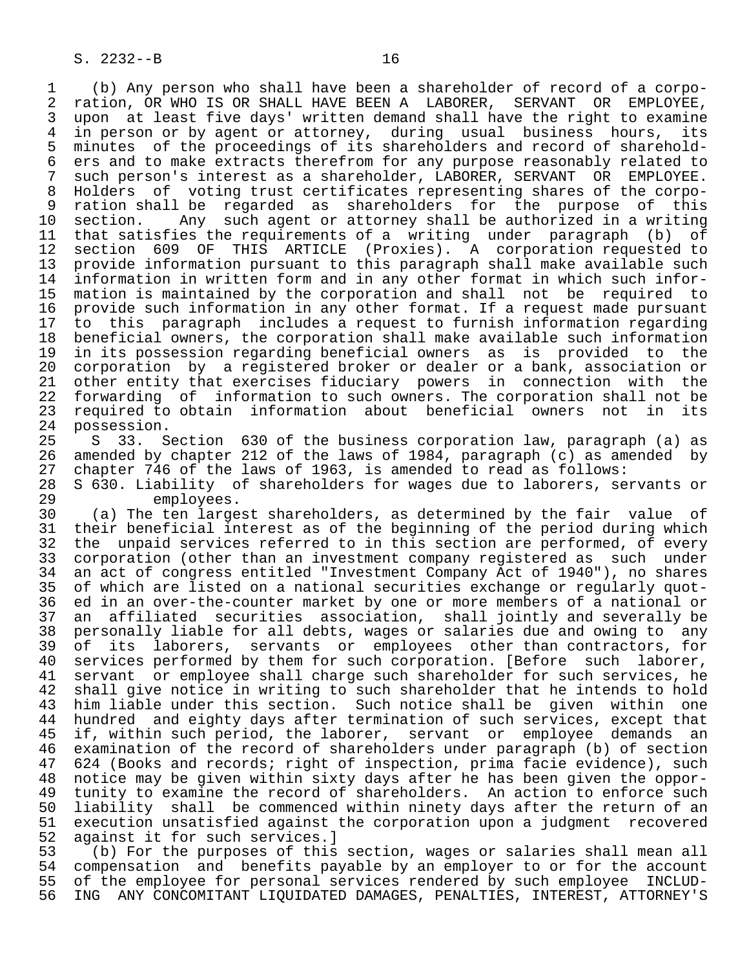1 (b) Any person who shall have been a shareholder of record of a corpo- 2 ration, OR WHO IS OR SHALL HAVE BEEN A LABORER, SERVANT OR EMPLOYEE,<br>3 upon at least five days' written demand shall have the right to examine 3 upon at least five days' written demand shall have the right to examine<br>4 in person or by agent or attorney, during usual business hours, its 4 in person or by agent or attorney, during usual business hours, its<br>5 minutes of the proceedings of its shareholders and record of sharehold- 5 minutes of the proceedings of its shareholders and record of sharehold- 6 ers and to make extracts therefrom for any purpose reasonably related to<br>7 such person's interest as a shareholder, LABORER, SERVANT OR EMPLOYEE. 7 such person's interest as a shareholder, LABORER, SERVANT OR EMPLOYEE.<br>8 Holders of voting trust certificates representing shares of the corpo-8 Holders of voting trust certificates representing shares of the corpo-<br>8 ration shall be regarded as shareholders for the purpose of this 9 ration shall be regarded as shareholders for the purpose of this<br>10 section. Any such agent or attorney shall be authorized in a writing 10 section. Any such agent or attorney shall be authorized in a writing<br>11 that satisfies the requirements of a writing under paragraph (b) of 11 that satisfies the requirements of a writing under paragraph (b) of<br>12 section 609 OF THIS ARTICLE (Proxies). A corporation requested to 12 section 609 OF THIS ARTICLE (Proxies). A corporation requested to 13 provide information pursuant to this paragraph shall make available such<br>14 information in written form and in any other format in which such inforinformation in written form and in any other format in which such infor- 15 mation is maintained by the corporation and shall not be required to 16 provide such information in any other format. If a request made pursuant<br>17 to this paragraph includes a request to furnish information regarding 17 to this paragraph includes a request to furnish information regarding<br>18 beneficial owners, the corporation shall make available such information 18 beneficial owners, the corporation shall make available such information<br>19 in its possession regarding beneficial owners as is provided to the 19 in its possession regarding beneficial owners as is provided to the<br>20 corporation by a registered broker or dealer or a bank, association or 20 corporation by a registered broker or dealer or a bank, association or<br>21 other entity that exercises fiduciary powers in connection with the 21 other entity that exercises fiduciary powers in connection with the<br>22 forwarding of information to such owners. The corporation shall not be 22 forwarding of information to such owners. The corporation shall not be<br>23 required to obtain information about beneficial owners not in its 23 required to obtain information about beneficial owners not in its<br>24 possession.

24 possession.<br>25 S 33. S 25 S 33. Section 630 of the business corporation law, paragraph (a) as 26 amended by chapter 212 of the laws of 1984, paragraph (c) as amended by<br>27 chapter 746 of the laws of 1963, is amended to read as follows: 27 chapter 746 of the laws of 1963, is amended to read as follows:<br>28 S 630. Liability of shareholders for wages due to laborers, se 28 S 630. Liability of shareholders for wages due to laborers, servants or employees.

29 employees.<br>30 (a) The ten large 30 (a) The ten largest shareholders, as determined by the fair value of 31 their beneficial interest as of the beginning of the period during which<br>32 the unpaid services referred to in this section are performed, of every 32 the unpaid services referred to in this section are performed, of every<br>33 corporation (other than an investment company registered as such under 33 corporation (other than an investment company registered as such under<br>34 an act of congress entitled "Investment Company Act of 1940"), no shares 34 an act of congress entitled "Investment Company Act of 1940"), no shares 35 of which are listed on a national securities exchange or regularly quot-<br>36 ed in an over-the-counter market by one or more members of a national or 36 ed in an over-the-counter market by one or more members of a national or<br>37 an affiliated securities association, shall jointly and severally be 37 an affiliated securities association, shall jointly and severally be 38 personally liable for all debts, wages or salaries due and owing to any<br>39 of its laborers, servants or emplovees other than contractors, for 39 of its laborers, servants or employees other than contractors, for<br>40 services performed by them for such corporation. [Before such laborer, 40 services performed by them for such corporation. [Before such laborer,<br>41 servant or employee shall charge such shareholder for such services, he 41 servant or employee shall charge such shareholder for such services, he<br>42 shall give notice in writing to such shareholder that he intends to hold 42 shall give notice in writing to such shareholder that he intends to hold<br>43 him liable under this section. Such notice shall be given within one 43 him liable under this section. Such notice shall be given within one<br>44 hundred and eighty days after termination of such services, except that 44 hundred and eighty days after termination of such services, except that<br>45 if, within such period, the laborer, servant or employee demands an if, within such period, the laborer, servant or employee demands an 46 examination of the record of shareholders under paragraph (b) of section<br>47 624 (Books and records; right of inspection, prima facie evidence), such 47 624 (Books and records; right of inspection, prima facie evidence), such<br>48 notice may be given within sixty days after he has been given the oppor- 48 notice may be given within sixty days after he has been given the oppor- 49 tunity to examine the record of shareholders. An action to enforce such<br>50 liability shall be commenced within ninety days after the return of an 50 liability shall be commenced within ninety days after the return of an<br>51 execution unsatisfied against the corporation upon a judgment recovered 51 execution unsatisfied against the corporation upon a judgment recovered<br>52 against it for such services.] 52 against it for such services.]<br>53 (b) For the purposes of this

 53 (b) For the purposes of this section, wages or salaries shall mean all 54 compensation and benefits payable by an employer to or for the account<br>55 of the employee for personal services rendered by such employee INCLUD-55 of the employee for personal services rendered by such employee INCLUD-<br>56 ING ANY CONCOMITANT LIOUIDATED DAMAGES, PENALTIES, INTEREST, ATTORNEY'S ING ANY CONCOMITANT LIQUIDATED DAMAGES, PENALTIES, INTEREST, ATTORNEY'S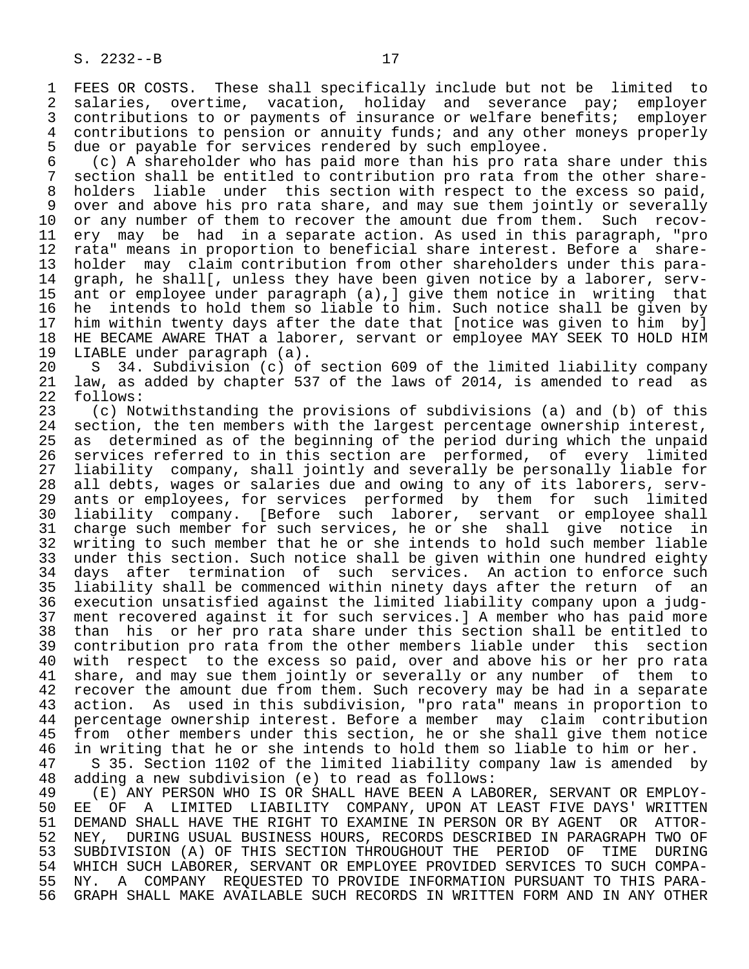1 FEES OR COSTS. These shall specifically include but not be limited to<br>2 salaries, overtime, vacation, holiday and severance pav; emplover 2 salaries, overtime, vacation, holiday and severance pay; employer<br>3 contributions to or payments of insurance or welfare benefits; employer 3 contributions to or payments of insurance or welfare benefits; employer<br>4 contributions to pension or annuity funds; and any other moneys properly 4 contributions to pension or annuity funds; and any other moneys properly<br>5 due or payable for services rendered by such employee. 5 due or payable for services rendered by such employee.<br>6 (c) A shareholder who has paid more than his pro rate

 6 (c) A shareholder who has paid more than his pro rata share under this 7 section shall be entitled to contribution pro rata from the other share-<br>8 holders liable, under this section with respect to the excess so paid. 8 holders liable under this section with respect to the excess so paid,<br>8 over and above his pro rata share, and may sue them jointly or severally 9 over and above his pro rata share, and may sue them jointly or severally<br>10 or any number of them to recover the amount due from them. Such recov-10 or any number of them to recover the amount due from them. Such recov-<br>11 erv may be had in a separate action. As used in this paragraph, "pro 11 ery may be had in a separate action. As used in this paragraph, "pro<br>12 rata" means in proportion to beneficial share interest. Before a share-12 rata" means in proportion to beneficial share interest. Before a share-<br>13 holder may claim contribution from other shareholders under this para-13 holder may claim contribution from other shareholders under this para-<br>14 graph, he shall[, unless they have been given notice by a laborer, servgraph, he shall[, unless they have been given notice by a laborer, serv-15 ant or employee under paragraph (a),] give them notice in writing that<br>16 he intends to hold them so liable to him. Such notice shall be given by 16 he intends to hold them so liable to him. Such notice shall be given by<br>17 him within twenty days after the date that Inotice was given to him byl 17 him within twenty days after the date that [notice was given to him by]<br>18 HE BECAME AWARE THAT a laborer, servant or employee MAY SEEK TO HOLD HIM 18 HE BECAME AWARE THAT a laborer, servant or employee MAY SEEK TO HOLD HIM<br>19 LIABLE under paragraph (a).

19 LIABLE under paragraph (a).<br>20 S 34. Subdivision (c) of 20 S 34. Subdivision (c) of section 609 of the limited liability company<br>21 law, as added by chapter 537 of the laws of 2014, is amended to read as 21 law, as added by chapter 537 of the laws of 2014, is amended to read as

22 follows:<br>23 (c) No 23 (c) Notwithstanding the provisions of subdivisions (a) and (b) of this 24 section, the ten members with the largest percentage ownership interest,<br>25 as determined as of the beginning of the period during which the unpaid as determined as of the beginning of the period during which the unpaid 26 services referred to in this section are performed, of every limited<br>27 liability company, shall jointly and severally be personally liable for 27 liability company, shall jointly and severally be personally liable for<br>28 all debts, wages or salaries due and owing to any of its laborers, serv-28 all debts, wages or salaries due and owing to any of its laborers, serv-<br>29 ants or employees, for services performed by them for such limited 29 ants or employees, for services performed by them for such limited<br>30 liability company. [Before such laborer, servant or employee shall 30 liability company. [Before such laborer, servant or employee shall 31 charge such member for such services, he or she shall give notice in<br>32 writing to such member that he or she intends to hold such member liable 32 writing to such member that he or she intends to hold such member liable<br>33 under this section. Such notice shall be given within one hundred eighty 33 under this section. Such notice shall be given within one hundred eighty<br>34 days after termination of such services. An action to enforce such 34 days after termination of such services. An action to enforce such<br>35 liability shall be commenced within ninety days after the return of an 31 days areer commented within ninety days after the return of an<br>36 execution unsatisfied against the limited liability company upon a judg- 36 execution unsatisfied against the limited liability company upon a judg- 37 ment recovered against it for such services.] A member who has paid more 38 than his or her pro rata share under this section shall be entitled to<br>39 contribution pro rata from the other members liable under this section 39 contribution pro rata from the other members liable under this section<br>40 with respect to the excess so paid, over and above his or her pro rata 40 with respect to the excess so paid, over and above his or her pro rata<br>41 share, and may sue them jointly or severally or any number of them to 41 share, and may sue them jointly or severally or any number of them to<br>42 recover the amount due from them. Such recovery may be had in a separate 42 recover the amount due from them. Such recovery may be had in a separate<br>43 action. As used in this subdivision, "pro rata" means in proportion to 43 action. As used in this subdivision, "pro rata" means in proportion to<br>44 percentage ownership interest. Before a member may claim contribution 44 percentage ownership interest. Before a member may claim contribution<br>45 from other members under this section, he or she shall give them notice from other members under this section, he or she shall give them notice 46 in writing that he or she intends to hold them so liable to him or her.<br>47 S 35. Section 1102 of the limited liability company law is amended b 47 S 35. Section 1102 of the limited liability company law is amended by<br>48 adding a new subdivision (e) to read as follows:

 48 adding a new subdivision (e) to read as follows: 49 (E) ANY PERSON WHO IS OR SHALL HAVE BEEN A LABORER, SERVANT OR EMPLOY-<br>50 EE OF A LIMITED LIABILITY COMPANY, UPON AT LEAST FIVE DAYS' WRITTEN 50 EE OF A LIMITED LIABILITY COMPANY, UPON AT LEAST FIVE DAYS' WRITTEN<br>51 DEMAND SHALL HAVE THE RIGHT TO EXAMINE IN PERSON OR BY AGENT OR ATTOR-51 DEMAND SHALL HAVE THE RIGHT TO EXAMINE IN PERSON OR BY AGENT OR ATTOR-<br>52 NEY, DURING USUAL BUSINESS HOURS, RECORDS DESCRIBED IN PARAGRAPH TWO OF 52 NEY, DURING USUAL BUSINESS HOURS, RECORDS DESCRIBED IN PARAGRAPH TWO OF<br>53 SUBDIVISION (A) OF THIS SECTION THROUGHOUT THE PERIOD OF TIME DURING 53 SUBDIVISION (A) OF THIS SECTION THROUGHOUT THE PERIOD OF TIME DURING<br>54 WHICH SUCH LABORER, SERVANT OR EMPLOYEE PROVIDED SERVICES TO SUCH COMPA-54 WHICH SUCH LABORER, SERVANT OR EMPLOYEE PROVIDED SERVICES TO SUCH COMPA-<br>55 NY. A COMPANY REOUESTED TO PROVIDE INFORMATION PURSUANT TO THIS PARA-55 NY. A COMPANY REQUESTED TO PROVIDE INFORMATION PURSUANT TO THIS PARA-<br>56 GRAPH SHALL MAKE AVAILABLE SUCH RECORDS IN WRITTEN FORM AND IN ANY OTHER 56 GRAPH SHALL MAKE AVAILABLE SUCH RECORDS IN WRITTEN FORM AND IN ANY OTHER